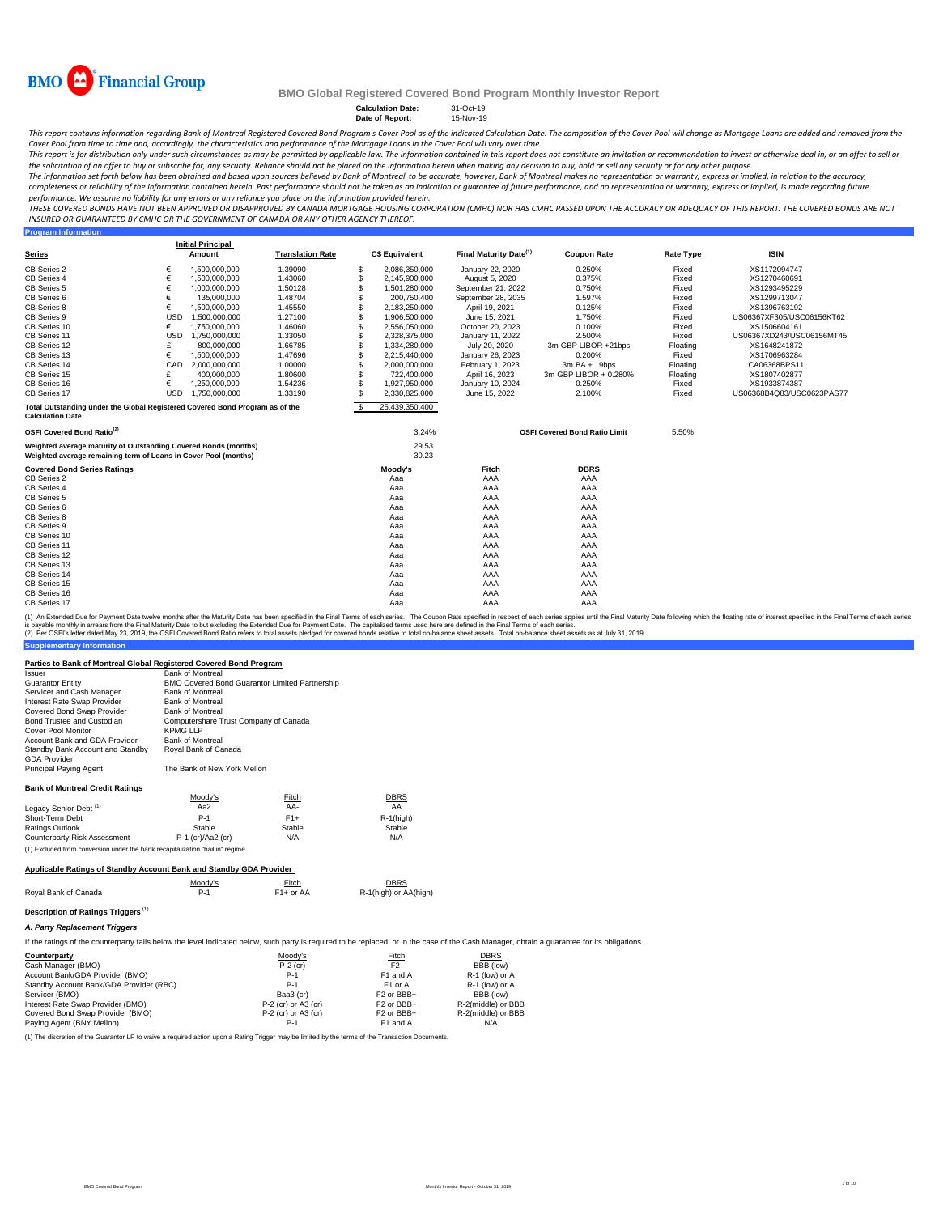

**Program Information**

### **BMO Global Registered Covered Bond Program Monthly Investor Report**

### **Calculation Date:** 31-Oct-19 **Date of Report:** 15-Nov-19

This report contains information regarding Bank of Montreal Registered Covered Bond Program's Cover Pool as of the indicated Calculation Date. The composition of the Cover Pool will change as Mortgage Loans are added and r

Cover Pool from time to time and, accordingly, the characteristics and performance of the Mortgage Loans in the Cover Pool will vary over time.<br>This report is for distribution only under such circumstances as may be permit the solicitation of an offer to buy or subscribe for, any security. Reliance should not be placed on the information herein when *making any decision to buy, hold or sell any security or for any other purpose.* 

The information set forth below has been obtained and based upon sources believed by Bank of Montreal to be accurate, however, Bank of Montreal makes no representation or warranty, express or implied, in relation to the ac *performance. We assume no liability for any errors or any reliance you place on the information provided herein.*

.<br>THESE COVERED BONDS HAVE NOT BEEN APPROVED OR DISAPPROVED BY CANADA MORTGAGE HOUSING CORPORATION (CMHC) NOR HAS CMHC PASSED UPON THE ACCURACY OR ADEQUACY OF THIS REPORT. THE COVERED BONDS ARE NOT *INSURED OR GUARANTEED BY CMHC OR THE GOVERNMENT OF CANADA OR ANY OTHER AGENCY THEREOF.*

|                                                                                                                                    |            | <b>Initial Principal</b> |                         |          |                       |                                    |                                      |                  |                           |  |
|------------------------------------------------------------------------------------------------------------------------------------|------------|--------------------------|-------------------------|----------|-----------------------|------------------------------------|--------------------------------------|------------------|---------------------------|--|
| <b>Series</b>                                                                                                                      |            | Amount                   | <b>Translation Rate</b> |          | <b>C\$ Equivalent</b> | Final Maturity Date <sup>(1)</sup> | <b>Coupon Rate</b>                   | <b>Rate Type</b> | <b>ISIN</b>               |  |
| CB Series 2                                                                                                                        | €          | 1,500,000,000            | 1.39090                 | -S       | 2,086,350,000         | January 22, 2020                   | 0.250%                               | Fixed            | XS1172094747              |  |
| CB Series 4                                                                                                                        | €          | 1,500,000,000            | 1.43060                 | S        | 2,145,900,000         | August 5, 2020                     | 0.375%                               | Fixed            | XS1270460691              |  |
| CB Series 5                                                                                                                        | €          | 1.000.000.000            | 1.50128                 | S        | 1.501.280.000         | September 21, 2022                 | 0.750%                               | Fixed            | XS1293495229              |  |
| CB Series 6                                                                                                                        | €          | 135,000,000              | 1.48704                 | S        | 200,750,400           | September 28, 2035                 | 1.597%                               | Fixed            | XS1299713047              |  |
| CB Series 8                                                                                                                        | €          | 1.500.000.000            | 1.45550                 | S        | 2.183.250.000         | April 19, 2021                     | 0.125%                               | Fixed            | XS1396763192              |  |
| CB Series 9                                                                                                                        | <b>USD</b> | 1.500.000.000            | 1.27100                 | S        | 1,906,500,000         | June 15, 2021                      | 1.750%                               | Fixed            | US06367XF305/USC06156KT62 |  |
| CB Series 10                                                                                                                       | €          | 1,750,000,000            | 1.46060                 | S        | 2,556,050,000         | October 20, 2023                   | 0.100%                               | Fixed            | XS1506604161              |  |
| CB Series 11                                                                                                                       | <b>USD</b> | 1,750,000,000            | 1.33050                 | S        | 2,328,375,000         | January 11, 2022                   | 2.500%                               | Fixed            | US06367XD243/USC06156MT45 |  |
| CB Series 12                                                                                                                       | £          | 800,000,000              | 1.66785                 | S        | 1,334,280,000         | July 20, 2020                      | 3m GBP LIBOR +21bps                  | Floating         | XS1648241872              |  |
| CB Series 13                                                                                                                       | €          | 1,500,000,000            | 1.47696                 | S        | 2,215,440,000         | January 26, 2023                   | 0.200%                               | Fixed            | XS1706963284              |  |
| CB Series 14                                                                                                                       | CAD        | 2.000.000.000            | 1.00000                 | S        | 2,000,000,000         | February 1, 2023                   | 3m BA + 19bps                        | Floating         | CA06368BPS11              |  |
| CB Series 15                                                                                                                       |            | 400,000,000              | 1.80600                 | S        | 722,400,000           | April 16, 2023                     | 3m GBP LIBOR + 0.280%                | Floating         | XS1807402877              |  |
| CB Series 16                                                                                                                       | €          | 1,250,000,000            | 1.54236                 | S        | 1,927,950,000         | January 10, 2024                   | 0.250%                               | Fixed            | XS1933874387              |  |
| CB Series 17                                                                                                                       | <b>USD</b> | 1.750.000.000            | 1.33190                 | S        | 2,330,825,000         | June 15, 2022                      | 2.100%                               | Fixed            | US06368B4Q83/USC0623PAS77 |  |
| Total Outstanding under the Global Registered Covered Bond Program as of the<br><b>Calculation Date</b>                            |            |                          |                         | <b>S</b> | 25,439,350,400        |                                    |                                      |                  |                           |  |
| OSFI Covered Bond Ratio <sup>(2)</sup>                                                                                             |            |                          |                         |          | 3.24%                 |                                    | <b>OSFI Covered Bond Ratio Limit</b> | 5.50%            |                           |  |
| Weighted average maturity of Outstanding Covered Bonds (months)<br>Weighted average remaining term of Loans in Cover Pool (months) |            |                          |                         |          | 29.53<br>30.23        |                                    |                                      |                  |                           |  |
| <b>Covered Bond Series Ratings</b>                                                                                                 |            |                          |                         |          | Moody's               | Fitch                              | <b>DBRS</b>                          |                  |                           |  |
| CB Series 2                                                                                                                        |            |                          |                         |          | Aaa                   | AAA                                | AAA                                  |                  |                           |  |
| CB Series 4                                                                                                                        |            |                          |                         |          | Aaa                   | AAA                                | AAA                                  |                  |                           |  |
| CB Series 5                                                                                                                        |            |                          |                         |          | Aaa                   | AAA                                | AAA                                  |                  |                           |  |
| CB Series 6                                                                                                                        |            |                          |                         |          | Aaa                   | AAA                                | AAA                                  |                  |                           |  |
| CB Series 8                                                                                                                        |            |                          |                         |          | Aaa                   | AAA                                | AAA                                  |                  |                           |  |
| CB Series 9                                                                                                                        |            |                          |                         |          | Aaa                   | AAA                                | AAA                                  |                  |                           |  |
| CB Series 10                                                                                                                       |            |                          |                         |          | Aaa                   | AAA                                | AAA                                  |                  |                           |  |
| CB Series 11                                                                                                                       |            |                          |                         |          | Aaa                   | AAA                                | AAA                                  |                  |                           |  |
| CB Series 12                                                                                                                       |            |                          |                         |          | Aaa                   | AAA                                | AAA                                  |                  |                           |  |
| CB Series 13                                                                                                                       |            |                          |                         |          | Aaa                   | AAA                                | AAA                                  |                  |                           |  |
| CB Series 14                                                                                                                       |            |                          |                         |          | Aaa                   | AAA                                | AAA                                  |                  |                           |  |
| CB Series 15                                                                                                                       |            |                          |                         |          | Aaa                   | AAA                                | AAA                                  |                  |                           |  |
| CB Series 16                                                                                                                       |            |                          |                         |          | Aaa                   | AAA                                | AAA                                  |                  |                           |  |
| CB Series 17                                                                                                                       |            |                          |                         |          | Aaa                   | AAA                                | AAA                                  |                  |                           |  |

(1) An Extended Due for Payment Date twelve months after the Maturity Date has been specified in the Final Terms of each series. The Coupon Rate specified in the respective in the specifie such series applies until the Fin

#### **Parties to Bank of Montreal Global Registered Covered Bond Program**

| Issuer                                 | <b>Bank of Montreal</b>                               |        |              |  |  |  |
|----------------------------------------|-------------------------------------------------------|--------|--------------|--|--|--|
| Guarantor Entitv                       | <b>BMO Covered Bond Guarantor Limited Partnership</b> |        |              |  |  |  |
| Servicer and Cash Manager              | <b>Bank of Montreal</b>                               |        |              |  |  |  |
| Interest Rate Swap Provider            | <b>Bank of Montreal</b>                               |        |              |  |  |  |
| Covered Bond Swap Provider             | <b>Bank of Montreal</b>                               |        |              |  |  |  |
| Bond Trustee and Custodian             | Computershare Trust Company of Canada                 |        |              |  |  |  |
| Cover Pool Monitor                     | KPMG LLP                                              |        |              |  |  |  |
| Account Bank and GDA Provider          | <b>Bank of Montreal</b>                               |        |              |  |  |  |
| Standby Bank Account and Standby       | Royal Bank of Canada                                  |        |              |  |  |  |
| <b>GDA Provider</b>                    |                                                       |        |              |  |  |  |
| Principal Paying Agent                 | The Bank of New York Mellon                           |        |              |  |  |  |
| <b>Bank of Montreal Credit Ratings</b> |                                                       |        |              |  |  |  |
|                                        | Moody's                                               | Fitch  | <b>DBRS</b>  |  |  |  |
| Legacy Senior Debt <sup>(1)</sup>      | Aa2                                                   | AA-    | AA           |  |  |  |
| Short-Term Debt                        | $P-1$                                                 | $F1+$  | $R-1$ (high) |  |  |  |
| Ratings Outlook                        | Stable                                                | Stable | Stable       |  |  |  |
| Counterparty Risk Assessment           | P-1 (cr)/Aa2 (cr)                                     | N/A    | N/A          |  |  |  |

#### **Applicable Ratings of Standby Account Bank and Standby GDA Provider**

(1) Excluded from conversion under the bank recapitalization "bail in" regime.

|                      | Moodv's | Fitch       | <b>DBRS</b>           |
|----------------------|---------|-------------|-----------------------|
| Roval Bank of Canada |         | $F1+$ or AA | R-1(high) or AA(high) |

## **Description of Ratings Triggers** (1)

**Supplementary Information**

*A. Party Replacement Triggers*

If the ratings of the counterparty falls below the level indicated below, such party is required to be replaced, or in the case of the Cash Manager, obtain a guarantee for its obligations.

| Counterparty                            | Moody's               | Fitch                             | <b>DBRS</b>        |
|-----------------------------------------|-----------------------|-----------------------------------|--------------------|
| Cash Manager (BMO)                      | $P-2$ (cr)            | F <sub>2</sub>                    | BBB (low)          |
| Account Bank/GDA Provider (BMO)         | $P-1$                 | F1 and A                          | R-1 (low) or A     |
| Standby Account Bank/GDA Provider (RBC) | P-1                   | F1 or A                           | R-1 (low) or A     |
| Servicer (BMO)                          | Baa3 (cr)             | F <sub>2</sub> or BB <sub>+</sub> | BBB (low)          |
| Interest Rate Swap Provider (BMO)       | $P-2$ (cr) or A3 (cr) | F <sub>2</sub> or BBB+            | R-2(middle) or BBB |
| Covered Bond Swap Provider (BMO)        | P-2 (cr) or A3 (cr)   | F <sub>2</sub> or BB <sub>+</sub> | R-2(middle) or BBB |
| Paying Agent (BNY Mellon)               | P-1                   | F1 and A                          | N/A                |

(1) The discretion of the Guarantor LP to waive a required action upon a Rating Trigger may be limited by the terms of the Transaction Documents.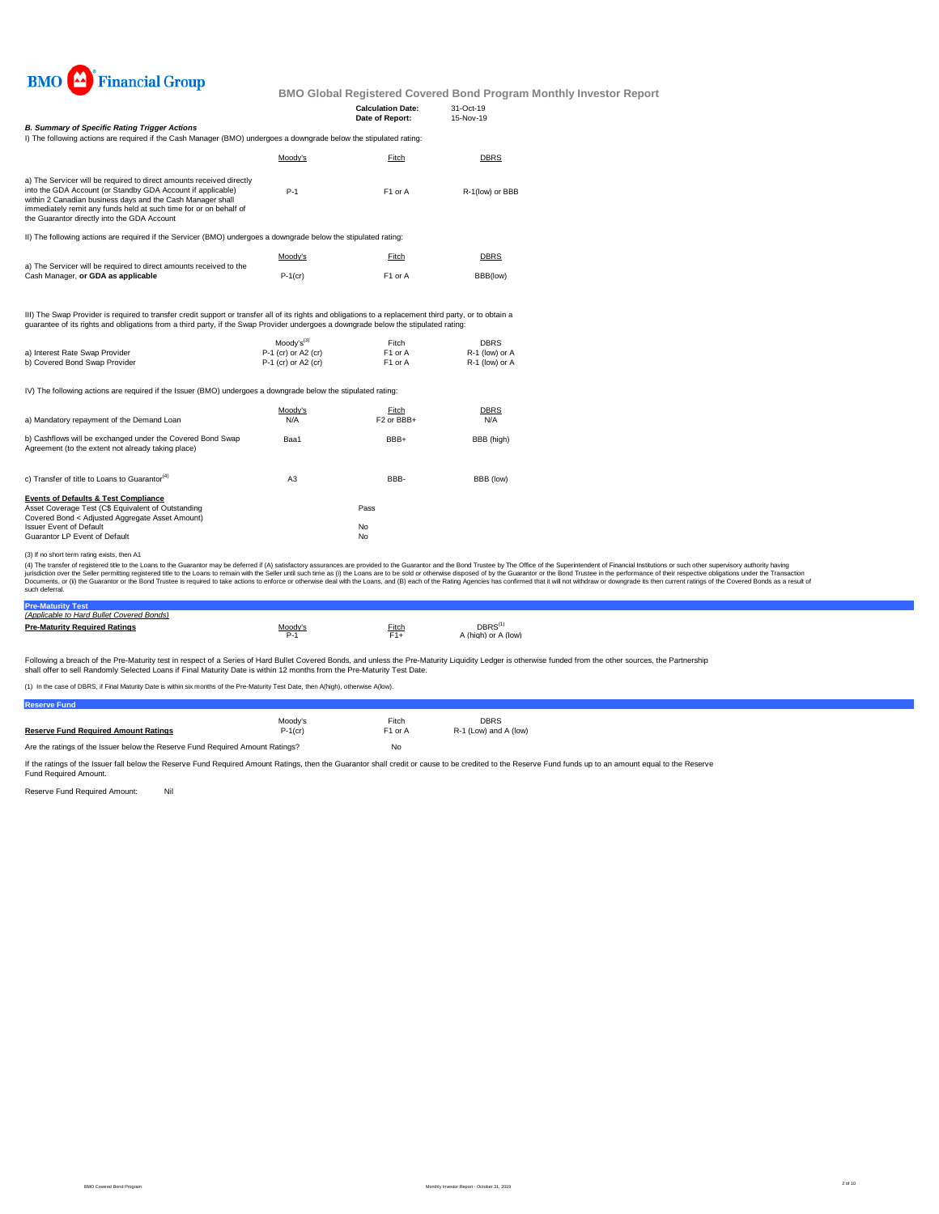

|                                                                                                                                                                                                                                                                                                                                                                                                                                                                                                                                                                                                                                                                                                                      |                                            | <b>Calculation Date:</b><br>Date of Report: | 31-Oct-19<br>15-Nov-19           |  |  |
|----------------------------------------------------------------------------------------------------------------------------------------------------------------------------------------------------------------------------------------------------------------------------------------------------------------------------------------------------------------------------------------------------------------------------------------------------------------------------------------------------------------------------------------------------------------------------------------------------------------------------------------------------------------------------------------------------------------------|--------------------------------------------|---------------------------------------------|----------------------------------|--|--|
| <b>B. Summary of Specific Rating Trigger Actions</b>                                                                                                                                                                                                                                                                                                                                                                                                                                                                                                                                                                                                                                                                 |                                            |                                             |                                  |  |  |
| I) The following actions are required if the Cash Manager (BMO) undergoes a downgrade below the stipulated rating:                                                                                                                                                                                                                                                                                                                                                                                                                                                                                                                                                                                                   |                                            |                                             |                                  |  |  |
|                                                                                                                                                                                                                                                                                                                                                                                                                                                                                                                                                                                                                                                                                                                      | Moody's                                    | Fitch                                       | <b>DBRS</b>                      |  |  |
| a) The Servicer will be required to direct amounts received directly                                                                                                                                                                                                                                                                                                                                                                                                                                                                                                                                                                                                                                                 |                                            |                                             |                                  |  |  |
| into the GDA Account (or Standby GDA Account if applicable)<br>within 2 Canadian business days and the Cash Manager shall<br>immediately remit any funds held at such time for or on behalf of<br>the Guarantor directly into the GDA Account                                                                                                                                                                                                                                                                                                                                                                                                                                                                        | $P-1$                                      | F1 or A                                     | R-1(low) or BBB                  |  |  |
| II) The following actions are required if the Servicer (BMO) undergoes a downgrade below the stipulated rating:                                                                                                                                                                                                                                                                                                                                                                                                                                                                                                                                                                                                      |                                            |                                             |                                  |  |  |
|                                                                                                                                                                                                                                                                                                                                                                                                                                                                                                                                                                                                                                                                                                                      | Moody's                                    | Fitch                                       | <b>DBRS</b>                      |  |  |
| a) The Servicer will be required to direct amounts received to the<br>Cash Manager, or GDA as applicable                                                                                                                                                                                                                                                                                                                                                                                                                                                                                                                                                                                                             | $P-1$ (cr)                                 | F <sub>1</sub> or A                         | BBB(low)                         |  |  |
| III) The Swap Provider is required to transfer credit support or transfer all of its rights and obligations to a replacement third party, or to obtain a<br>quarantee of its rights and obligations from a third party, if the Swap Provider undergoes a downgrade below the stipulated rating:                                                                                                                                                                                                                                                                                                                                                                                                                      |                                            |                                             |                                  |  |  |
|                                                                                                                                                                                                                                                                                                                                                                                                                                                                                                                                                                                                                                                                                                                      | Moodv's <sup>(3)</sup>                     | Fitch                                       | <b>DBRS</b>                      |  |  |
| a) Interest Rate Swap Provider<br>b) Covered Bond Swap Provider                                                                                                                                                                                                                                                                                                                                                                                                                                                                                                                                                                                                                                                      | P-1 (cr) or A2 (cr)<br>P-1 (cr) or A2 (cr) | F1 or A<br>F1 or A                          | R-1 (low) or A<br>R-1 (low) or A |  |  |
| IV) The following actions are required if the Issuer (BMO) undergoes a downgrade below the stipulated rating:                                                                                                                                                                                                                                                                                                                                                                                                                                                                                                                                                                                                        |                                            |                                             |                                  |  |  |
|                                                                                                                                                                                                                                                                                                                                                                                                                                                                                                                                                                                                                                                                                                                      | Moody's                                    | Fitch                                       | DBRS                             |  |  |
| a) Mandatory repayment of the Demand Loan                                                                                                                                                                                                                                                                                                                                                                                                                                                                                                                                                                                                                                                                            | N/A                                        | F <sub>2</sub> or BB <sub>H</sub>           | N/A                              |  |  |
| b) Cashflows will be exchanged under the Covered Bond Swap<br>Agreement (to the extent not already taking place)                                                                                                                                                                                                                                                                                                                                                                                                                                                                                                                                                                                                     | Baa1                                       | BBB+                                        | BBB (high)                       |  |  |
| c) Transfer of title to Loans to Guarantor <sup>(4)</sup>                                                                                                                                                                                                                                                                                                                                                                                                                                                                                                                                                                                                                                                            | A <sub>3</sub>                             | BBB-                                        | BBB (low)                        |  |  |
| <b>Events of Defaults &amp; Test Compliance</b>                                                                                                                                                                                                                                                                                                                                                                                                                                                                                                                                                                                                                                                                      |                                            |                                             |                                  |  |  |
| Asset Coverage Test (C\$ Equivalent of Outstanding<br>Covered Bond < Adjusted Aggregate Asset Amount)                                                                                                                                                                                                                                                                                                                                                                                                                                                                                                                                                                                                                |                                            | Pass                                        |                                  |  |  |
| <b>Issuer Event of Default</b>                                                                                                                                                                                                                                                                                                                                                                                                                                                                                                                                                                                                                                                                                       |                                            | No                                          |                                  |  |  |
| Guarantor LP Event of Default                                                                                                                                                                                                                                                                                                                                                                                                                                                                                                                                                                                                                                                                                        |                                            | No                                          |                                  |  |  |
| (3) If no short term rating exists, then A1                                                                                                                                                                                                                                                                                                                                                                                                                                                                                                                                                                                                                                                                          |                                            |                                             |                                  |  |  |
| (4) The transfer of registered title to the Loans to the Guarantor may be deferred if (A) satisfactory assurances are provided to the Guarantor and the Bond Trustee by The Office of the Superintendent of Financial Institut<br>urisdiction over the Seller permitting registered title to the Loans to remain with the Seller until such time as (i) the Loans are to be sold or otherwise disposed of by the Guarantor or the Bond Trustee in the performanc<br>Documents, or (ii) the Guarantor or the Bond Trustee is required to take actions to enforce or otherwise deal with the Loans, and (B) each of the Rating Agencies has confirmed that it will not withdraw or downgrade its the<br>such deferral. |                                            |                                             |                                  |  |  |

**Pre-Maturity Test** *(Applicable to Hard Bullet Covered Bonds)*

| (Abbiicable to Hard Bullet Covered Bonds) |         |       |                                                   |
|-------------------------------------------|---------|-------|---------------------------------------------------|
| <b>Pre-Maturity Required Ratings</b>      | Moodv's | Fitch | $\mathsf{DBRS}^\mathsf{f}$<br>A (high) or A (low) |

Following a breach of the Pre-Maturity test in respect of a Series of Hard Bullet Covered Bonds, and unless the Pre-Maturity Liquidity Ledger is otherwise funded from the other sources, the Partnership<br>shall offer to sell

(1) In the case of DBRS, if Final Maturity Date is within six months of the Pre-Maturity Test Date, then A(high), otherwise A(low).

| <b>Reserve Fund</b>                                                           |            |                     |                       |
|-------------------------------------------------------------------------------|------------|---------------------|-----------------------|
|                                                                               | Moodv's    | Fitch               | <b>DBRS</b>           |
| <b>Reserve Fund Required Amount Ratings</b>                                   | $P-1$ (cr) | F <sub>1</sub> or A | R-1 (Low) and A (low) |
| Are the ratings of the Issuer below the Reserve Fund Required Amount Ratings? | No         |                     |                       |

If the ratings of the Issuer fall below the Reserve Fund Required Amount Ratings, then the Guarantor shall credit or cause to be credited to the Reserve Fund funds up to an amount equal to the Reserve<br>Fund Required Amount.

Reserve Fund Required Amount: Nil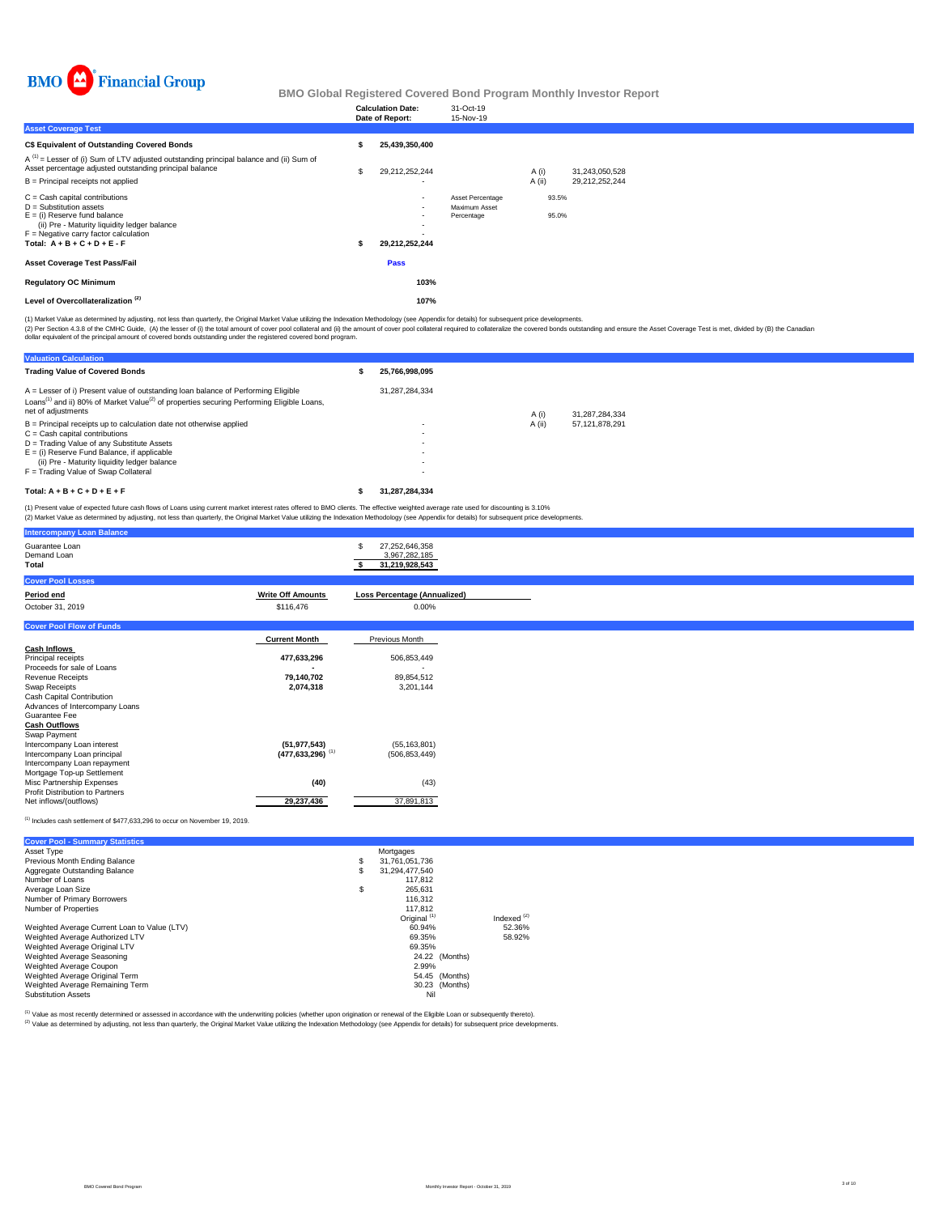

|                                                                                                                                                                                                                              |   | <b>Calculation Date:</b><br>Date of Report:                               | 31-Oct-19<br>15-Nov-19                          |                |                |
|------------------------------------------------------------------------------------------------------------------------------------------------------------------------------------------------------------------------------|---|---------------------------------------------------------------------------|-------------------------------------------------|----------------|----------------|
| <b>Asset Coverage Test</b>                                                                                                                                                                                                   |   |                                                                           |                                                 |                |                |
| <b>C\$ Equivalent of Outstanding Covered Bonds</b>                                                                                                                                                                           |   | 25.439.350.400                                                            |                                                 |                |                |
| $A^{(1)}$ = Lesser of (i) Sum of LTV adjusted outstanding principal balance and (ii) Sum of<br>Asset percentage adjusted outstanding principal balance                                                                       | s | 29,212,252,244                                                            |                                                 | A(i)           | 31,243,050,528 |
| B = Principal receipts not applied                                                                                                                                                                                           |   | $\overline{\phantom{a}}$                                                  |                                                 | A (ii)         | 29,212,252,244 |
| $C =$ Cash capital contributions<br>$D =$ Substitution assets<br>$E =$ (i) Reserve fund balance<br>(ii) Pre - Maturity liquidity ledger balance<br>$F =$ Negative carry factor calculation<br>Total: $A + B + C + D + E - F$ |   | $\blacksquare$<br>$\blacksquare$<br>$\blacksquare$<br>۰<br>29,212,252,244 | Asset Percentage<br>Maximum Asset<br>Percentage | 93.5%<br>95.0% |                |
| <b>Asset Coverage Test Pass/Fail</b>                                                                                                                                                                                         |   | <b>Pass</b>                                                               |                                                 |                |                |
| <b>Regulatory OC Minimum</b>                                                                                                                                                                                                 |   | 103%                                                                      |                                                 |                |                |
| Level of Overcollateralization <sup>(2)</sup>                                                                                                                                                                                |   | 107%                                                                      |                                                 |                |                |

(1) Market Value as determined by adjusting, not less than quarterly, the Original Market Value utilizing the Indexation Methodology (see Appendix for details) for subsequent price developments.

(2) Per Section 4.3.8 of the CMHC Guide, (A) the lesser of (i) the total amount of cover pool collateral and (i)) the amount of cover pool collateral required to collateralize the covered bonds outstanding and ensure the A

| <b>Valuation Calculation</b>                                                                                                                                                                                                                                                                     |                                                                                                              |        |                |
|--------------------------------------------------------------------------------------------------------------------------------------------------------------------------------------------------------------------------------------------------------------------------------------------------|--------------------------------------------------------------------------------------------------------------|--------|----------------|
| <b>Trading Value of Covered Bonds</b>                                                                                                                                                                                                                                                            | 25.766.998.095                                                                                               |        |                |
| A = Lesser of i) Present value of outstanding loan balance of Performing Eligible<br>Loans <sup>(1)</sup> and ii) 80% of Market Value <sup>(2)</sup> of properties securing Performing Eligible Loans,<br>net of adjustments                                                                     | 31.287.284.334                                                                                               | A (i)  | 31.287.284.334 |
| $B =$ Principal receipts up to calculation date not otherwise applied<br>$C =$ Cash capital contributions<br>D = Trading Value of any Substitute Assets<br>$E =$ (i) Reserve Fund Balance, if applicable<br>(ii) Pre - Maturity liquidity ledger balance<br>F = Trading Value of Swap Collateral | $\overline{\phantom{a}}$<br>$\overline{\phantom{a}}$<br>$\overline{\phantom{a}}$<br>$\overline{\phantom{a}}$ | A (ii) | 57.121.878.291 |
| Total: $A + B + C + D + E + F$                                                                                                                                                                                                                                                                   | 31.287.284.334                                                                                               |        |                |
| (1) Precent value of expected future cash flows of Logne using current market interest rates offered to BMO clients. The effective weighted average rate used for discounting is 3,10%                                                                                                           |                                                                                                              |        |                |

(1) Present value of expected future cash flows of Loans using current market interest rates offered to BMO clients. The effective weighted average rate used for discounting is 3.10%<br>(2) Market Value as determined by adjus

| <b>Intercompany Loan Balance</b>       |                                  |                                                        |
|----------------------------------------|----------------------------------|--------------------------------------------------------|
| Guarantee Loan<br>Demand Loan<br>Total |                                  | 27,252,646,358<br>S<br>3,967,282,185<br>31,219,928,543 |
| <b>Cover Pool Losses</b>               |                                  |                                                        |
| Period end                             | <b>Write Off Amounts</b>         | <b>Loss Percentage (Annualized)</b>                    |
| October 31, 2019                       | \$116,476                        | 0.00%                                                  |
| <b>Cover Pool Flow of Funds</b>        |                                  |                                                        |
|                                        | <b>Current Month</b>             | Previous Month                                         |
| <b>Cash Inflows</b>                    |                                  |                                                        |
| Principal receipts                     | 477,633,296                      | 506,853,449                                            |
| Proceeds for sale of Loans             |                                  |                                                        |
| Revenue Receipts                       | 79,140,702                       | 89,854,512                                             |
| Swap Receipts                          | 2,074,318                        | 3,201,144                                              |
| Cash Capital Contribution              |                                  |                                                        |
| Advances of Intercompany Loans         |                                  |                                                        |
| Guarantee Fee                          |                                  |                                                        |
| <b>Cash Outflows</b>                   |                                  |                                                        |
| Swap Payment                           |                                  |                                                        |
| Intercompany Loan interest             | (51, 977, 543)                   | (55, 163, 801)                                         |
| Intercompany Loan principal            | $(477, 633, 296)$ <sup>(1)</sup> | (506.853.449)                                          |
| Intercompany Loan repayment            |                                  |                                                        |
| Mortgage Top-up Settlement             |                                  |                                                        |
| Misc Partnership Expenses              | (40)                             | (43)                                                   |
| Profit Distribution to Partners        |                                  |                                                        |
| Net inflows/(outflows)                 | 29,237,436                       | 37,891,813                                             |
| <b>CALL I</b>                          |                                  |                                                        |

 $(1)$  Includes cash settlement of \$477,633,296 to occur on November 19, 2019.

| <b>Cover Pool - Summary Statistics</b>       |    |                         |               |
|----------------------------------------------|----|-------------------------|---------------|
| Asset Type                                   |    | Mortgages               |               |
| Previous Month Ending Balance                | \$ | 31.761.051.736          |               |
| Aggregate Outstanding Balance                | Ś  | 31.294.477.540          |               |
| Number of Loans                              |    | 117,812                 |               |
| Average Loan Size                            | \$ | 265.631                 |               |
| Number of Primary Borrowers                  |    | 116.312                 |               |
| Number of Properties                         |    | 117.812                 |               |
|                                              |    | Original <sup>(1)</sup> | Indexed $(2)$ |
| Weighted Average Current Loan to Value (LTV) |    | 60.94%                  | 52.36%        |
| Weighted Average Authorized LTV              |    | 69.35%                  | 58.92%        |
| Weighted Average Original LTV                |    | 69.35%                  |               |
| Weighted Average Seasoning                   |    | 24.22 (Months)          |               |
| Weighted Average Coupon                      |    | 2.99%                   |               |
| Weighted Average Original Term               |    | 54.45 (Months)          |               |
| Weighted Average Remaining Term              |    | 30.23 (Months)          |               |
| <b>Substitution Assets</b>                   |    | Nil                     |               |

<sup>(1)</sup> Value as most recently determined or assessed in accordance with the underwriting policies (whether upon origination or renewal of the Eligible Loan or subsequently thereto).<br><sup>(2)</sup> Value as determined by adjusting, n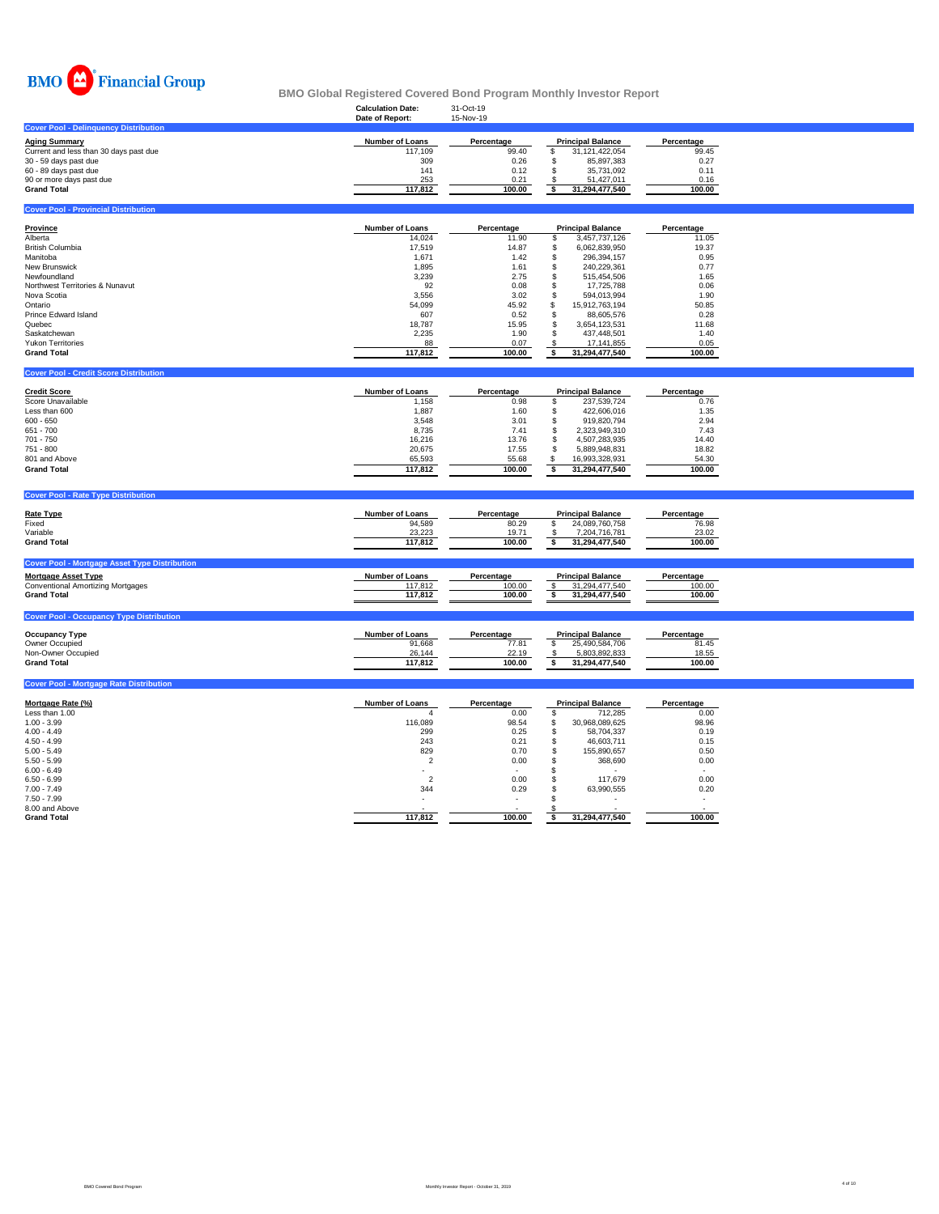

|                                                                                                                                                                                                                                                                                                                             | <b>Calculation Date:</b><br>Date of Report:                                                                                                           | 31-Oct-19<br>15-Nov-19                                                                                                    |                                                                                                                                                                                                                                                                                                                                                  |                                                                                                                           |  |
|-----------------------------------------------------------------------------------------------------------------------------------------------------------------------------------------------------------------------------------------------------------------------------------------------------------------------------|-------------------------------------------------------------------------------------------------------------------------------------------------------|---------------------------------------------------------------------------------------------------------------------------|--------------------------------------------------------------------------------------------------------------------------------------------------------------------------------------------------------------------------------------------------------------------------------------------------------------------------------------------------|---------------------------------------------------------------------------------------------------------------------------|--|
| <b>Cover Pool - Delinquency Distribution</b>                                                                                                                                                                                                                                                                                |                                                                                                                                                       |                                                                                                                           |                                                                                                                                                                                                                                                                                                                                                  |                                                                                                                           |  |
| <b>Aging Summary</b><br>Current and less than 30 days past due<br>30 - 59 days past due<br>60 - 89 days past due<br>90 or more days past due<br><b>Grand Total</b>                                                                                                                                                          | Number of Loans<br>117,109<br>309<br>141<br>253<br>117,812                                                                                            | Percentage<br>99.40<br>0.26<br>0.12<br>0.21<br>100.00                                                                     | <b>Principal Balance</b><br>\$<br>31,121,422,054<br>\$<br>85,897,383<br>\$<br>35,731,092<br>\$<br>51,427,011<br>\$<br>31,294,477,540                                                                                                                                                                                                             | Percentage<br>99.45<br>0.27<br>0.11<br>0.16<br>100.00                                                                     |  |
|                                                                                                                                                                                                                                                                                                                             |                                                                                                                                                       |                                                                                                                           |                                                                                                                                                                                                                                                                                                                                                  |                                                                                                                           |  |
| <b>Cover Pool - Provincial Distribution</b>                                                                                                                                                                                                                                                                                 |                                                                                                                                                       |                                                                                                                           |                                                                                                                                                                                                                                                                                                                                                  |                                                                                                                           |  |
| <b>Province</b><br>Alberta<br><b>British Columbia</b><br>Manitoba<br>New Brunswick<br>Newfoundland                                                                                                                                                                                                                          | <b>Number of Loans</b><br>14,024<br>17,519<br>1,671<br>1,895<br>3,239                                                                                 | Percentage<br>11.90<br>14.87<br>1.42<br>1.61<br>2.75                                                                      | <b>Principal Balance</b><br>\$<br>3,457,737,126<br>\$<br>6,062,839,950<br>\$<br>296,394,157<br>\$<br>240,229,361<br>\$<br>515,454,506                                                                                                                                                                                                            | Percentage<br>11.05<br>19.37<br>0.95<br>0.77<br>1.65                                                                      |  |
| Northwest Territories & Nunavut<br>Nova Scotia<br>Ontario<br>Prince Edward Island<br>Quebec<br>Saskatchewan<br><b>Yukon Territories</b><br><b>Grand Total</b>                                                                                                                                                               | 92<br>3,556<br>54,099<br>607<br>18,787<br>2,235<br>88<br>117,812                                                                                      | 0.08<br>3.02<br>45.92<br>0.52<br>15.95<br>1.90<br>0.07<br>100.00                                                          | \$<br>17,725,788<br>\$<br>594,013,994<br>s<br>15,912,763,194<br>\$<br>88,605,576<br>\$<br>3,654,123,531<br>\$<br>437,448,501<br>\$<br>17,141,855<br>$\overline{\mathbf{s}}$<br>31,294,477,540                                                                                                                                                    | 0.06<br>1.90<br>50.85<br>0.28<br>11.68<br>1.40<br>0.05<br>100.00                                                          |  |
|                                                                                                                                                                                                                                                                                                                             |                                                                                                                                                       |                                                                                                                           |                                                                                                                                                                                                                                                                                                                                                  |                                                                                                                           |  |
| <b>Cover Pool - Credit Score Distribution</b>                                                                                                                                                                                                                                                                               |                                                                                                                                                       |                                                                                                                           |                                                                                                                                                                                                                                                                                                                                                  |                                                                                                                           |  |
| <b>Credit Score</b><br>Score Unavailable<br>Less than 600<br>$600 - 650$<br>651 - 700<br>701 - 750<br>751 - 800<br>801 and Above<br><b>Grand Total</b><br><b>Cover Pool - Rate Type Distribution</b><br><b>Rate Type</b><br>Fixed<br>Variable<br><b>Grand Total</b><br><b>Cover Pool - Mortgage Asset Type Distribution</b> | Number of Loans<br>1,158<br>1,887<br>3,548<br>8,735<br>16,216<br>20,675<br>65,593<br>117,812<br><b>Number of Loans</b><br>94,589<br>23,223<br>117,812 | Percentage<br>0.98<br>1.60<br>3.01<br>7.41<br>13.76<br>17.55<br>55.68<br>100.00<br>Percentage<br>80.29<br>19.71<br>100.00 | <b>Principal Balance</b><br>\$<br>237,539,724<br>\$<br>422.606.016<br>\$<br>919,820,794<br>\$<br>2,323,949,310<br>\$<br>4,507,283,935<br>\$<br>5,889,948,831<br>\$<br>16,993,328,931<br>$\overline{\mathbf{s}}$<br>31,294,477,540<br><b>Principal Balance</b><br>\$<br>24,089,760,758<br>$\mathfrak{s}$<br>7,204,716,781<br>\$<br>31,294,477,540 | Percentage<br>0.76<br>1.35<br>2.94<br>7.43<br>14.40<br>18.82<br>54.30<br>100.00<br>Percentage<br>76.98<br>23.02<br>100.00 |  |
| <b>Mortgage Asset Type</b>                                                                                                                                                                                                                                                                                                  | Number of Loans                                                                                                                                       | Percentage                                                                                                                | <b>Principal Balance</b>                                                                                                                                                                                                                                                                                                                         | Percentage                                                                                                                |  |
| <b>Conventional Amortizing Mortgages</b><br><b>Grand Total</b>                                                                                                                                                                                                                                                              | 117,812<br>117,812                                                                                                                                    | 100.00<br>100.00                                                                                                          | \$<br>31,294,477,540<br>31,294,477,540<br>\$                                                                                                                                                                                                                                                                                                     | 100.00<br>100.00                                                                                                          |  |
| <b>Cover Pool - Occupancy Type Distribution</b>                                                                                                                                                                                                                                                                             |                                                                                                                                                       |                                                                                                                           |                                                                                                                                                                                                                                                                                                                                                  |                                                                                                                           |  |
| <b>Occupancy Type</b><br>Owner Occupied<br>Non-Owner Occupied<br><b>Grand Total</b>                                                                                                                                                                                                                                         | Number of Loans<br>91,668<br>26,144<br>117,812                                                                                                        | Percentage<br>77.81<br>22.19<br>100.00                                                                                    | <b>Principal Balance</b><br>\$<br>25,490,584,706<br>5,803,892,833<br>\$<br>\$<br>31,294,477,540                                                                                                                                                                                                                                                  | Percentage<br>81.45<br>18.55<br>100.00                                                                                    |  |
| <b>Cover Pool - Mortgage Rate Distribution</b>                                                                                                                                                                                                                                                                              |                                                                                                                                                       |                                                                                                                           |                                                                                                                                                                                                                                                                                                                                                  |                                                                                                                           |  |
| Mortgage Rate (%)<br>Less than 1.00<br>$1.00 - 3.99$<br>$4.00 - 4.49$<br>$4.50 - 4.99$<br>$5.00 - 5.49$<br>$5.50 - 5.99$                                                                                                                                                                                                    | <b>Number of Loans</b><br>116,089<br>299<br>243<br>829<br>$\overline{\phantom{a}}$                                                                    | Percentage<br>0.00<br>98.54<br>0.25<br>0.21<br>0.70<br>0.00                                                               | <b>Principal Balance</b><br>\$<br>712,285<br>\$<br>30,968,089,625<br>\$<br>58,704,337<br>\$<br>46,603,711<br>\$<br>155,890,657<br>368,690<br>\$                                                                                                                                                                                                  | Percentage<br>0.00<br>98.96<br>0.19<br>0.15<br>0.50<br>0.00                                                               |  |

6.00 - 6.49 - - \$ - - 6.50 - 6.99 2 0.00 \$ 117,679 0.00 7.00 - 7.49 344 0.29 \$ 63,990,555 0.20 7.50 - 7.99 - - \$ - - 8.00 and Above  $\sim$  -  $\sim$  -  $\sim$  -  $\sim$  -  $\sim$  -  $\sim$  -  $\sim$  -  $\sim$  -  $\sim$  -  $\sim$  -  $\sim$  -  $\sim$  -  $\sim$  -  $\sim$  -  $\sim$  -  $\sim$  -  $\sim$  -  $\sim$  -  $\sim$  -  $\sim$  -  $\sim$  -  $\sim$  -  $\sim$  -  $\sim$  -  $\sim$  -  $\sim$  -  $\sim$  -  $\sim$  -  $\sim$  -  $\sim$ **Grand Total 117,812 100.00 \$ 31,294,477,540 100.00**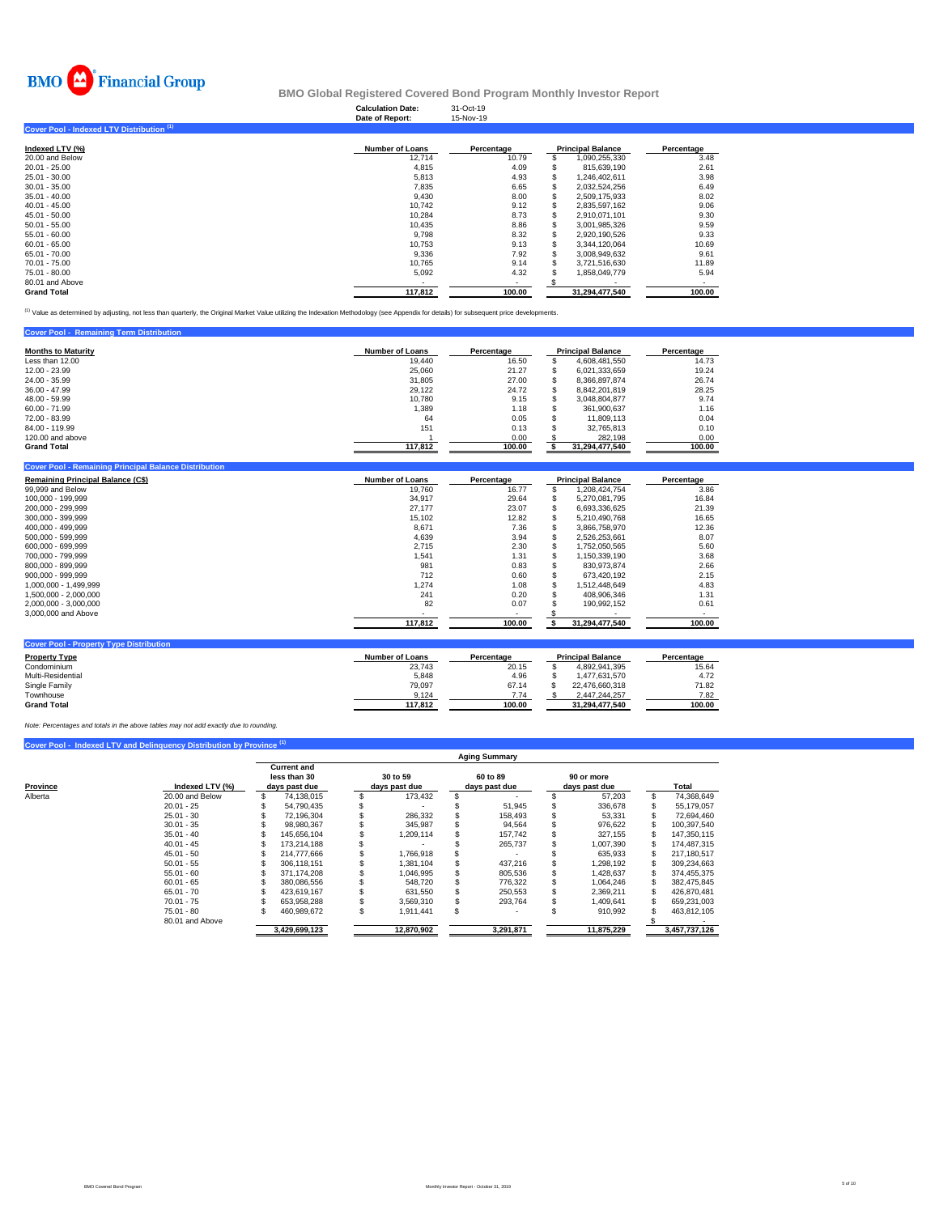

### **Calculation Date:**<br>Date of Benert: **BMO Global Registered Covered Bond Program Monthly Investor Report**

|                                                      | <b>Calculation Date:</b><br>Date of Report: | 31-Oct-19<br>15-Nov-19 |   |                          |            |
|------------------------------------------------------|---------------------------------------------|------------------------|---|--------------------------|------------|
| Cover Pool - Indexed LTV Distribution <sup>(1)</sup> |                                             |                        |   |                          |            |
| Indexed LTV (%)                                      | <b>Number of Loans</b>                      | Percentage             |   | <b>Principal Balance</b> | Percentage |
| 20.00 and Below                                      | 12,714                                      | 10.79                  | ъ | 1,090,255,330            | 3.48       |
| 20.01 - 25.00                                        | 4.815                                       | 4.09                   |   | 815.639.190              | 2.61       |
| 25.01 - 30.00                                        | 5,813                                       | 4.93                   |   | 1,246,402,611            | 3.98       |
| 30.01 - 35.00                                        | 7,835                                       | 6.65                   |   | 2,032,524,256            | 6.49       |
| 35.01 - 40.00                                        | 9,430                                       | 8.00                   |   | 2,509,175,933            | 8.02       |
| 40.01 - 45.00                                        | 10,742                                      | 9.12                   |   | 2,835,597,162            | 9.06       |
| 45.01 - 50.00                                        | 10.284                                      | 8.73                   | S | 2.910.071.101            | 9.30       |
| 50.01 - 55.00                                        | 10,435                                      | 8.86                   |   | 3,001,985,326            | 9.59       |
| 55.01 - 60.00                                        | 9,798                                       | 8.32                   |   | 2,920,190,526            | 9.33       |
| 60.01 - 65.00                                        | 10,753                                      | 9.13                   |   | 3,344,120,064            | 10.69      |
| 65.01 - 70.00                                        | 9,336                                       | 7.92                   |   | 3,008,949,632            | 9.61       |
| 70.01 - 75.00                                        | 10,765                                      | 9.14                   |   | 3,721,516,630            | 11.89      |
| 75.01 - 80.00                                        | 5,092                                       | 4.32                   |   | 1,858,049,779            | 5.94       |
| 80.01 and Above                                      |                                             | $\blacksquare$         |   |                          |            |
| <b>Grand Total</b>                                   | 117,812                                     | 100.00                 |   | 31,294,477,540           | 100.00     |

<sup>(1)</sup> Value as determined by adjusting, not less than quarterly, the Original Market Value utilizing the Indexation Methodology (see Appendix for details) for subsequent price developments.

| <b>Cover Pool - Remaining Term Distribution</b> |                        |            |                          |            |
|-------------------------------------------------|------------------------|------------|--------------------------|------------|
| <b>Months to Maturity</b>                       | <b>Number of Loans</b> | Percentage | <b>Principal Balance</b> | Percentage |
| Less than 12.00                                 | 19.440                 | 16.50      | 4.608.481.550            | 14.73      |
| 12.00 - 23.99                                   | 25,060                 | 21.27      | 6.021.333.659            | 19.24      |
| 24.00 - 35.99                                   | 31.805                 | 27.00      | 8.366.897.874            | 26.74      |
| $36.00 - 47.99$                                 | 29.122                 | 24.72      | 8.842.201.819            | 28.25      |
| 48.00 - 59.99                                   | 10.780                 | 9.15       | 3.048.804.877            | 9.74       |
| $60.00 - 71.99$                                 | 1.389                  | 1.18       | 361.900.637              | 1.16       |
| 72.00 - 83.99                                   | 64                     | 0.05       | 11,809,113               | 0.04       |
| 84.00 - 119.99                                  | 151                    | 0.13       | 32.765.813               | 0.10       |
| 120,00 and above                                |                        | 0.00       | 282.198                  | 0.00       |
| <b>Grand Total</b>                              | 117,812                | 100.00     | 31,294,477,540           | 100.00     |

| <b>Remaining Principal Balance (C\$)</b> | <b>Number of Loans</b> | Percentage |     | <b>Principal Balance</b> | Percentage |  |  |
|------------------------------------------|------------------------|------------|-----|--------------------------|------------|--|--|
| 99,999 and Below                         | 19.760                 | 16.77      | \$. | 1,208,424,754            | 3.86       |  |  |
| 100.000 - 199.999                        | 34,917                 | 29.64      | S   | 5.270.081.795            | 16.84      |  |  |
| 200.000 - 299.999                        | 27.177                 | 23.07      | ж   | 6.693.336.625            | 21.39      |  |  |
| 300,000 - 399,999                        | 15,102                 | 12.82      | S   | 5,210,490,768            | 16.65      |  |  |
| 400.000 - 499.999                        | 8,671                  | 7.36       |     | 3.866.758.970            | 12.36      |  |  |
| 500.000 - 599.999                        | 4.639                  | 3.94       |     | 2,526,253,661            | 8.07       |  |  |
| 600.000 - 699.999                        | 2,715                  | 2.30       | S   | 1,752,050,565            | 5.60       |  |  |
| 700.000 - 799.999                        | 1,541                  | 1.31       |     | 1,150,339,190            | 3.68       |  |  |
| 800.000 - 899.999                        | 981                    | 0.83       |     | 830.973.874              | 2.66       |  |  |
| 900.000 - 999.999                        | 712                    | 0.60       |     | 673,420,192              | 2.15       |  |  |
| 1.000.000 - 1.499.999                    | 1.274                  | 1.08       |     | 1.512.448.649            | 4.83       |  |  |
| 1.500.000 - 2.000.000                    | 241                    | 0.20       |     | 408,906,346              | 1.31       |  |  |
| 2,000,000 - 3,000,000                    | 82                     | 0.07       |     | 190,992,152              | 0.61       |  |  |
| 3,000,000 and Above                      |                        |            |     |                          |            |  |  |
|                                          | 117,812                | 100.00     |     | 31,294,477,540           | 100.00     |  |  |

| <b>Property Type</b> | <b>Number of Loans</b> | Percentage | <b>Principal Balance</b> | Percentage |
|----------------------|------------------------|------------|--------------------------|------------|
| Condominium          | 23.743                 | 20.15      | 4.892.941.395            | 15.64      |
| Multi-Residential    | 5,848                  | 4.96       | 1.477.631.570            | 4.72       |
| Single Family        | 79.097                 | 67.14      | 22.476.660.318           | 71.82      |
| Townhouse            | 9.124                  | 7.74       | 2.447.244.257            | 7.82       |
| <b>Grand Total</b>   | 117.812                | 100.00     | 31.294.477.540           | 100.00     |

*Note: Percentages and totals in the above tables may not add exactly due to rounding.*

|          |                 | <b>Aging Summary</b>               |               |               |            |  |               |  |               |  |               |  |  |
|----------|-----------------|------------------------------------|---------------|---------------|------------|--|---------------|--|---------------|--|---------------|--|--|
|          |                 | <b>Current and</b><br>less than 30 |               | 30 to 59      |            |  | 60 to 89      |  | 90 or more    |  |               |  |  |
| Province | Indexed LTV (%) |                                    | days past due | days past due |            |  | days past due |  | days past due |  | Total         |  |  |
| Alberta  | 20.00 and Below |                                    | 74,138,015    |               | 173,432    |  |               |  | 57,203        |  | 74,368,649    |  |  |
|          | $20.01 - 25$    |                                    | 54.790.435    |               |            |  | 51.945        |  | 336.678       |  | 55.179.057    |  |  |
|          | $25.01 - 30$    |                                    | 72.196.304    |               | 286.332    |  | 158.493       |  | 53,331        |  | 72.694.460    |  |  |
|          | $30.01 - 35$    |                                    | 98.980.367    |               | 345.987    |  | 94.564        |  | 976.622       |  | 100,397,540   |  |  |
|          | $35.01 - 40$    |                                    | 145.656.104   |               | 114,209    |  | 157.742       |  | 327.155       |  | 147.350.115   |  |  |
|          | $40.01 - 45$    |                                    | 173.214.188   |               |            |  | 265.737       |  | 1.007.390     |  | 174.487.315   |  |  |
|          | $45.01 - 50$    |                                    | 214,777,666   |               | 1.766.918  |  |               |  | 635.933       |  | 217.180.517   |  |  |
|          | $50.01 - 55$    |                                    | 306.118.151   |               | 1.381.104  |  | 437.216       |  | 1.298.192     |  | 309.234.663   |  |  |
|          | $55.01 - 60$    |                                    | 371.174.208   |               | 1,046,995  |  | 805,536       |  | 1,428,637     |  | 374,455,375   |  |  |
|          | $60.01 - 65$    |                                    | 380.086.556   |               | 548.720    |  | 776.322       |  | 1.064.246     |  | 382.475.845   |  |  |
|          | $65.01 - 70$    |                                    | 423.619.167   |               | 631.550    |  | 250.553       |  | 2.369.211     |  | 426.870.481   |  |  |
|          | $70.01 - 75$    |                                    | 653.958.288   |               | 3.569.310  |  | 293.764       |  | 1.409.641     |  | 659,231,003   |  |  |
|          | $75.01 - 80$    |                                    | 460.989.672   | ă.            | 1.911.441  |  |               |  | 910,992       |  | 463,812,105   |  |  |
|          | 80.01 and Above |                                    |               |               |            |  |               |  |               |  |               |  |  |
|          |                 |                                    | 3,429,699,123 |               | 12,870,902 |  | 3,291,871     |  | 11.875.229    |  | 3,457,737,126 |  |  |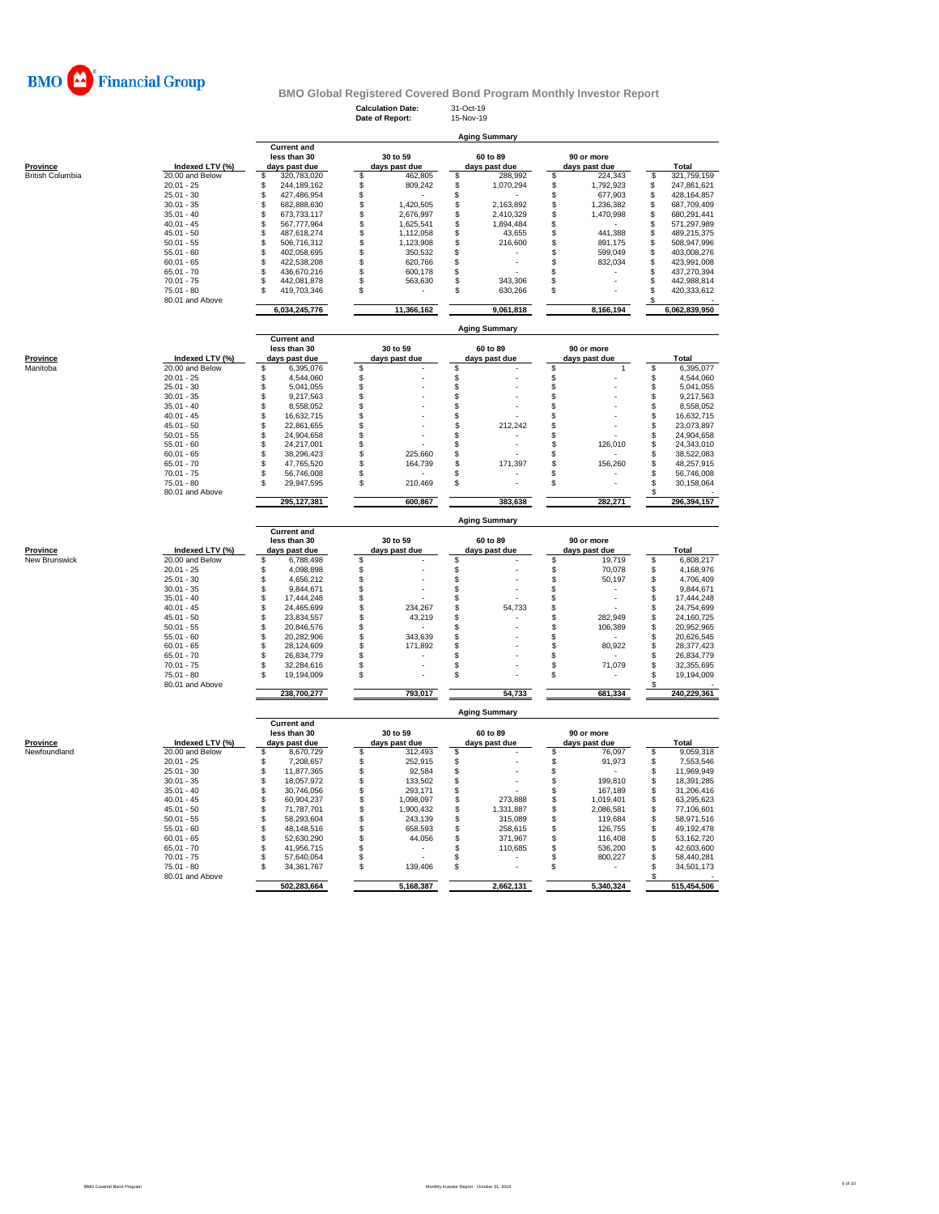

**Calculation Date:** 31-Oct-19 **Date of Report:** 15-Nov-19

|                  |                                 | <b>Aging Summary</b>                                |                                  |                           |                                |                                          |  |  |  |  |  |  |  |  |
|------------------|---------------------------------|-----------------------------------------------------|----------------------------------|---------------------------|--------------------------------|------------------------------------------|--|--|--|--|--|--|--|--|
| Province         | Indexed LTV (%)                 | <b>Current and</b><br>less than 30<br>days past due | 30 to 59<br>days past due        | 60 to 89<br>days past due | 90 or more<br>days past due    | Total                                    |  |  |  |  |  |  |  |  |
| British Columbia | 20.00 and Below                 | \$<br>320,783,020                                   | \$<br>462,805                    | \$<br>288,992             | \$<br>224,343                  | \$<br>321,759,159                        |  |  |  |  |  |  |  |  |
|                  | $20.01 - 25$                    | \$<br>244,189,162                                   | \$<br>809,242                    | \$<br>1,070,294           | \$<br>1,792,923                | \$<br>247,861,621                        |  |  |  |  |  |  |  |  |
|                  | $25.01 - 30$                    | \$<br>427,486,954                                   | S                                | $\,$                      | 677,903<br>\$                  | \$<br>428, 164, 857                      |  |  |  |  |  |  |  |  |
|                  | $30.01 - 35$                    | \$<br>682,888,630                                   | \$<br>1,420,505                  | \$<br>2,163,892           | \$<br>1,236,382                | \$<br>687,709,409                        |  |  |  |  |  |  |  |  |
|                  | $35.01 - 40$                    | \$<br>673,733,117                                   | \$<br>2,676,997                  | \$<br>2,410,329           | \$<br>1,470,998                | \$<br>680,291,441                        |  |  |  |  |  |  |  |  |
|                  | $40.01 - 45$                    | \$<br>567,777,964                                   | \$<br>1,625,541                  | \$<br>1,894,484           | \$                             | 571,297,989<br>S                         |  |  |  |  |  |  |  |  |
|                  | $45.01 - 50$                    | \$<br>487,618,274                                   | \$<br>1,112,058                  | \$<br>43,655              | 441,388<br>\$                  | 489,215,375<br>\$                        |  |  |  |  |  |  |  |  |
|                  | $50.01 - 55$                    | \$<br>506,716,312                                   | \$<br>1,123,908                  | \$<br>216,600             | \$<br>891,175                  | \$<br>508,947,996                        |  |  |  |  |  |  |  |  |
|                  | $55.01 - 60$                    | \$<br>402,058,695                                   | \$<br>350,532                    | \$                        | \$<br>599,049                  | \$<br>403,008,276                        |  |  |  |  |  |  |  |  |
|                  | $60.01 - 65$                    | \$<br>422,538,208                                   | \$<br>620,766                    | $\,$                      | \$<br>832,034                  | \$<br>423,991,008                        |  |  |  |  |  |  |  |  |
|                  | $65.01 - 70$                    | \$<br>436,670,216                                   | \$<br>600,178                    | \$                        | \$                             | \$<br>437,270,394                        |  |  |  |  |  |  |  |  |
|                  | $70.01 - 75$                    | \$<br>442,081,878                                   | \$<br>563,630                    | \$<br>343,306             | \$                             | \$<br>442,988,814                        |  |  |  |  |  |  |  |  |
|                  | $75.01 - 80$<br>80.01 and Above | \$<br>419,703,346                                   | \$                               | \$<br>630,266             | \$                             | \$<br>420,333,612<br>\$                  |  |  |  |  |  |  |  |  |
|                  |                                 | 6,034,245,776                                       | 11,366,162                       | 9,061,818                 | 8,166,194                      | 6,062,839,950                            |  |  |  |  |  |  |  |  |
|                  |                                 |                                                     |                                  | <b>Aging Summary</b>      |                                |                                          |  |  |  |  |  |  |  |  |
|                  |                                 | <b>Current and</b><br>less than 30                  | 30 to 59                         | 60 to 89                  | 90 or more                     |                                          |  |  |  |  |  |  |  |  |
| Province         | Indexed LTV (%)                 | days past due                                       | days past due                    | days past due             | days past due                  | Total                                    |  |  |  |  |  |  |  |  |
| Manitoba         | 20.00 and Below                 | \$<br>6,395,076                                     | \$                               | \$                        | \$<br>$\mathbf{1}$             | \$<br>6,395,077                          |  |  |  |  |  |  |  |  |
|                  | $20.01 - 25$                    | \$<br>4,544,060                                     | \$                               | $\,$                      | \$                             | 4,544,060<br>\$                          |  |  |  |  |  |  |  |  |
|                  | $25.01 - 30$                    | \$<br>5,041,055                                     | \$                               | \$                        | \$                             | \$<br>5,041,055                          |  |  |  |  |  |  |  |  |
|                  | $30.01 - 35$                    | \$<br>9,217,563                                     | S                                | \$                        | \$                             | \$<br>9,217,563                          |  |  |  |  |  |  |  |  |
|                  | $35.01 - 40$                    | \$<br>8,558,052                                     | \$                               | \$                        | \$                             | \$<br>8,558,052                          |  |  |  |  |  |  |  |  |
|                  | $40.01 - 45$                    | \$<br>16,632,715                                    | S                                | $\ddot{\$}$               | \$                             | \$<br>16,632,715                         |  |  |  |  |  |  |  |  |
|                  | $45.01 - 50$                    | \$<br>22,861,655                                    | S                                | \$<br>212,242             | \$                             | \$<br>23,073,897                         |  |  |  |  |  |  |  |  |
|                  | $50.01 - 55$                    | \$<br>24,904,658                                    | S                                | \$                        | \$                             | \$<br>24,904,658                         |  |  |  |  |  |  |  |  |
|                  | $55.01 - 60$                    | \$<br>24,217,001                                    | \$                               | \$                        | 126,010<br>S                   | \$<br>24,343,010                         |  |  |  |  |  |  |  |  |
|                  | $60.01 - 65$                    | \$<br>38,296,423                                    | \$<br>225,660                    | $\,$                      | \$                             | 38,522,083<br>\$                         |  |  |  |  |  |  |  |  |
|                  | $65.01 - 70$                    | \$<br>47.765.520                                    | \$<br>164,739                    | \$<br>171,397             | 156,260<br>\$                  | \$<br>48,257,915                         |  |  |  |  |  |  |  |  |
|                  | $70.01 - 75$                    | \$<br>56,746,008                                    | \$                               | \$                        | S                              | \$<br>56,746,008                         |  |  |  |  |  |  |  |  |
|                  | 75.01 - 80                      | \$<br>29,947,595                                    | \$<br>210,469                    | \$                        | \$                             | \$<br>30,158,064                         |  |  |  |  |  |  |  |  |
|                  | 80.01 and Above                 | 295,127,381                                         | 600,867                          | 383,638                   | 282,271                        | S<br>296,394,157                         |  |  |  |  |  |  |  |  |
|                  |                                 |                                                     |                                  | <b>Aging Summary</b>      |                                |                                          |  |  |  |  |  |  |  |  |
|                  |                                 | <b>Current and</b>                                  |                                  |                           |                                |                                          |  |  |  |  |  |  |  |  |
|                  |                                 | less than 30                                        | 30 to 59                         | 60 to 89                  | 90 or more                     |                                          |  |  |  |  |  |  |  |  |
| Province         | Indexed LTV (%)                 | days past due                                       | days past due                    | days past due             | days past due                  | Total                                    |  |  |  |  |  |  |  |  |
| New Brunswick    | 20.00 and Below<br>$20.01 - 25$ | \$<br>6,788,498<br>\$<br>4,098,898                  | \$<br>\$                         | \$<br>$\,$                | \$<br>19,719<br>\$<br>70,078   | 6,808,217<br>\$<br>\$<br>4,168,976       |  |  |  |  |  |  |  |  |
|                  | $25.01 - 30$                    | \$<br>4,656,212                                     | S                                | $\,$                      | \$<br>50,197                   | \$<br>4,706,409                          |  |  |  |  |  |  |  |  |
|                  | $30.01 - 35$                    | \$<br>9,844,671                                     | \$                               | \$                        | \$                             | \$<br>9,844,671                          |  |  |  |  |  |  |  |  |
|                  | $35.01 - 40$                    | \$<br>17,444,248                                    | \$                               | \$                        | \$                             | \$<br>17,444,248                         |  |  |  |  |  |  |  |  |
|                  | $40.01 - 45$                    | \$<br>24,465,699                                    | \$<br>234,267                    | \$<br>54,733              | \$                             | 24,754,699<br>\$                         |  |  |  |  |  |  |  |  |
|                  | $45.01 - 50$                    | \$<br>23,834,557                                    | S<br>43,219                      | \$                        | \$<br>282,949                  | \$<br>24,160,725                         |  |  |  |  |  |  |  |  |
|                  | $50.01 - 55$                    | \$<br>20,846,576                                    | \$                               | \$                        | \$<br>106,389                  | \$<br>20,952,965                         |  |  |  |  |  |  |  |  |
|                  | $55.01 - 60$                    | \$<br>20,282,906                                    | \$<br>343,639                    | \$                        | \$                             | \$<br>20,626,545                         |  |  |  |  |  |  |  |  |
|                  | $60.01 - 65$                    | \$<br>28,124,609                                    | S<br>171,892                     | $$\mathbb{S}$$            | \$<br>80,922                   | \$<br>28,377,423                         |  |  |  |  |  |  |  |  |
|                  | $65.01 - 70$                    | \$<br>26,834,779                                    | \$                               | \$                        | \$                             | \$<br>26,834,779                         |  |  |  |  |  |  |  |  |
|                  | $70.01 - 75$                    | \$<br>32,284,616                                    | \$                               | \$                        | 71,079<br>\$                   | \$<br>32,355,695                         |  |  |  |  |  |  |  |  |
|                  | $75.01 - 80$                    | S<br>19,194,009                                     | \$                               | \$                        | \$                             | \$.<br>19,194,009                        |  |  |  |  |  |  |  |  |
|                  | 80.01 and Above                 | 238,700,277                                         | 793,017                          | 54,733                    | 681,334                        | 240,229,361                              |  |  |  |  |  |  |  |  |
|                  |                                 |                                                     |                                  | <b>Aging Summary</b>      |                                |                                          |  |  |  |  |  |  |  |  |
|                  |                                 | <b>Current and</b>                                  |                                  |                           |                                |                                          |  |  |  |  |  |  |  |  |
|                  |                                 | less than 30                                        | 30 to 59                         | 60 to 89                  | 90 or more                     |                                          |  |  |  |  |  |  |  |  |
| Province         | Indexed LTV (%)                 | days past due                                       | days past due                    | days past due             | days past due<br>S             | Total<br>9,059,318<br>\$                 |  |  |  |  |  |  |  |  |
| Newfoundland     | 20.00 and Below<br>$20.01 - 25$ | \$<br>8,670,729<br>7,208,657                        | \$<br>312,493                    | \$                        | 76,097                         |                                          |  |  |  |  |  |  |  |  |
|                  | $25.01 - 30$                    | \$<br>11,877,365                                    | $\ddot{\$}$<br>252,915<br>92,584 | \$                        | \$<br>91,973<br>\$             | \$<br>7,553,546<br>11,969,949            |  |  |  |  |  |  |  |  |
|                  | $30.01 - 35$                    | \$<br>\$<br>18,057,972                              | \$<br>\$<br>133,502              | \$<br>\$                  | \$<br>199,810                  | \$<br>\$<br>18,391,285                   |  |  |  |  |  |  |  |  |
|                  | $35.01 - 40$                    | \$<br>30,746,056                                    | \$<br>293,171                    | \$                        | \$<br>167,189                  | \$<br>31,206,416                         |  |  |  |  |  |  |  |  |
|                  | $40.01 - 45$                    | \$<br>60,904,237                                    | \$<br>1,098,097                  | \$<br>273,888             | \$<br>1,019,401                | S<br>63,295,623                          |  |  |  |  |  |  |  |  |
|                  | $45.01 - 50$                    | \$<br>71,787,701                                    | \$<br>1,900,432                  | \$<br>1,331,887           | 2,086,581<br>\$                | 77,106,601<br>\$                         |  |  |  |  |  |  |  |  |
|                  | $50.01 - 55$                    | \$<br>58,293,604                                    | \$<br>243,139                    | \$<br>315,089             | \$<br>119,684                  | \$<br>58,971,516                         |  |  |  |  |  |  |  |  |
|                  | $55.01 - 60$                    |                                                     |                                  | \$                        |                                |                                          |  |  |  |  |  |  |  |  |
|                  | $60.01 - 65$                    | \$<br>48,148,516<br>\$<br>52,630,290                | \$<br>658,593<br>\$<br>44,056    | 258,615<br>\$<br>371,967  | 126,755<br>\$<br>\$<br>116,408 | \$<br>49, 192, 478<br>\$<br>53, 162, 720 |  |  |  |  |  |  |  |  |
|                  | $65.01 - 70$                    | Ŝ<br>41,956,715                                     | \$                               | \$<br>110,685             | \$<br>536,200                  | \$<br>42,603,600                         |  |  |  |  |  |  |  |  |
|                  | $70.01 - 75$                    | 57,640,054                                          |                                  |                           |                                | \$                                       |  |  |  |  |  |  |  |  |
|                  | 75.01 - 80                      | \$<br>\$                                            | \$<br>\$<br>139,406              | \$<br>\$                  | \$<br>800,227<br>\$            | 58,440,281<br>\$<br>34,501,173           |  |  |  |  |  |  |  |  |
|                  | 80.01 and Above                 | 34,361,767                                          |                                  |                           |                                | \$.                                      |  |  |  |  |  |  |  |  |
|                  |                                 | 502,283,664                                         | 5,168,387                        | 2,662,131                 | 5,340,324                      | 515,454,506                              |  |  |  |  |  |  |  |  |
|                  |                                 |                                                     |                                  |                           |                                |                                          |  |  |  |  |  |  |  |  |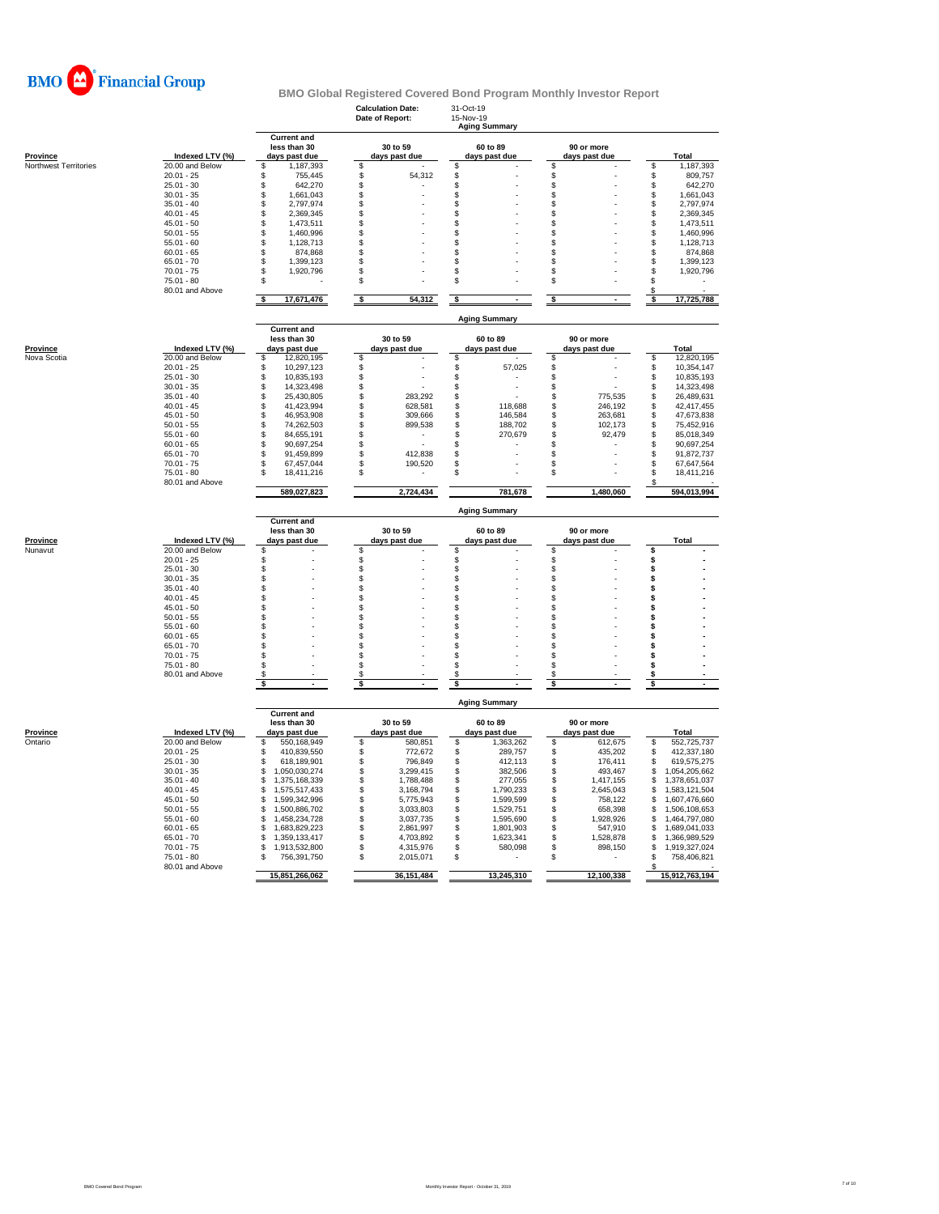

|                       |                                 |                                                     | <b>Calculation Date:</b><br>Date of Report: | 31-Oct-19<br>15-Nov-19<br><b>Aging Summary</b> |                                 |                                  |
|-----------------------|---------------------------------|-----------------------------------------------------|---------------------------------------------|------------------------------------------------|---------------------------------|----------------------------------|
| <b>Province</b>       | Indexed LTV (%)                 | <b>Current and</b><br>less than 30<br>days past due | 30 to 59<br>days past due                   | 60 to 89<br>days past due                      | 90 or more<br>days past due     | Total                            |
| Northwest Territories | 20.00 and Below                 | S<br>1,187,393                                      | \$                                          | \$                                             | $\mathsf{\$}$                   | \$<br>1,187,393                  |
|                       | $20.01 - 25$                    | \$<br>755,445                                       | \$<br>54,312                                | \$                                             | \$                              | \$<br>809,757                    |
|                       | $25.01 - 30$                    | \$<br>642,270                                       | \$                                          | \$                                             | \$                              | \$<br>642,270                    |
|                       | $30.01 - 35$                    | \$<br>1,661,043                                     | \$                                          | \$                                             | \$                              | \$<br>1,661,043                  |
|                       | $35.01 - 40$                    | \$<br>2,797,974                                     | \$                                          | \$                                             | \$                              | \$<br>2,797,974                  |
|                       | $40.01 - 45$                    | \$<br>2,369,345                                     | \$                                          | \$                                             | \$                              | \$<br>2,369,345                  |
|                       | $45.01 - 50$                    | \$<br>1,473,511                                     | \$                                          | \$                                             | \$                              | \$<br>1,473,511                  |
|                       | $50.01 - 55$                    | \$<br>1,460,996<br>\$                               | \$                                          | \$                                             | \$                              | \$<br>1,460,996                  |
|                       | $55.01 - 60$<br>$60.01 - 65$    | 1,128,713                                           | \$                                          | \$                                             | \$                              | \$<br>1,128,713                  |
|                       | $65.01 - 70$                    | \$<br>874,868<br>\$<br>1,399,123                    | \$<br>\$                                    | \$<br>\$                                       | \$<br>\$                        | \$<br>874,868<br>\$<br>1,399,123 |
|                       | $70.01 - 75$                    | \$<br>1,920,796                                     | \$                                          | \$                                             | \$                              | \$<br>1,920,796                  |
|                       | $75.01 - 80$                    | \$                                                  | \$                                          | \$                                             | \$                              | \$                               |
|                       | 80.01 and Above                 | <b>s</b>                                            |                                             |                                                | $\overline{\mathbf{s}}$         | \$<br>s                          |
|                       |                                 | 17,671,476                                          | s<br>54,312                                 | \$                                             |                                 | 17,725,788                       |
|                       |                                 | <b>Current and</b>                                  |                                             | <b>Aging Summary</b>                           |                                 |                                  |
| Province              | Indexed LTV (%)                 | less than 30<br>days past due                       | 30 to 59<br>days past due                   | 60 to 89<br>days past due                      | 90 or more<br>days past due     | Total                            |
| Nova Scotia           | 20.00 and Below                 | \$<br>12,820,195                                    | \$                                          | \$                                             | \$                              | S<br>12,820,195                  |
|                       | $20.01 - 25$                    | \$<br>10,297,123                                    | \$                                          | \$<br>57,025                                   | \$                              | 10,354,147<br>\$                 |
|                       | $25.01 - 30$                    | \$<br>10,835,193                                    | \$                                          | \$                                             | \$                              | \$<br>10,835,193                 |
|                       | $30.01 - 35$                    | \$<br>14,323,498                                    | \$                                          | \$<br>$\overline{\phantom{a}}$                 | \$                              | \$<br>14,323,498                 |
|                       | $35.01 - 40$                    | \$<br>25,430,805                                    | \$<br>283.292                               | \$                                             | \$<br>775.535                   | \$<br>26,489,631                 |
|                       | $40.01 - 45$                    | \$<br>41,423,994                                    | \$<br>628,581                               | \$<br>118,688                                  | \$<br>246,192                   | \$<br>42,417,455                 |
|                       | $45.01 - 50$                    | \$<br>46,953,908                                    | \$<br>309,666                               | \$<br>146,584                                  | \$<br>263,681                   | \$<br>47,673,838                 |
|                       | $50.01 - 55$                    | \$<br>74,262,503                                    | \$<br>899,538                               | \$<br>188,702                                  | \$<br>102.173                   | \$<br>75,452,916                 |
|                       | $55.01 - 60$                    | \$<br>84,655,191                                    | \$                                          | \$<br>270,679                                  | \$<br>92,479                    | \$<br>85,018,349                 |
|                       | $60.01 - 65$                    | \$<br>90,697,254                                    | \$                                          | \$                                             | \$                              | S<br>90,697,254                  |
|                       | $65.01 - 70$                    | \$<br>91,459,899                                    | \$<br>412,838                               | \$                                             | \$                              | 91,872,737<br>\$                 |
|                       | $70.01 - 75$                    | \$<br>67,457,044                                    | \$<br>190,520                               | \$                                             | \$                              | 67,647,564<br>S                  |
|                       | $75.01 - 80$<br>80.01 and Above | \$<br>18,411,216                                    | \$                                          | \$                                             | \$                              | \$<br>18,411,216<br>\$.          |
|                       |                                 | 589,027,823                                         | 2,724,434                                   | 781,678                                        | 1,480,060                       | 594,013,994                      |
|                       |                                 |                                                     |                                             |                                                |                                 |                                  |
|                       |                                 |                                                     |                                             | <b>Aging Summary</b>                           |                                 |                                  |
|                       |                                 | <b>Current and</b>                                  |                                             |                                                |                                 |                                  |
|                       |                                 | less than 30                                        | 30 to 59                                    | 60 to 89                                       | 90 or more                      |                                  |
| Province              | Indexed LTV (%)                 | days past due                                       | days past due                               | days past due                                  | days past due                   | <b>Total</b>                     |
| Nunavut               | 20.00 and Below                 | \$                                                  | S                                           | \$                                             | \$                              | \$                               |
|                       | $20.01 - 25$                    | \$                                                  | \$                                          | \$                                             | \$                              | \$                               |
|                       | $25.01 - 30$<br>$30.01 - 35$    | \$<br>\$                                            | \$                                          | \$<br>\$                                       | \$<br>\$                        | \$                               |
|                       | $35.01 - 40$                    |                                                     | \$                                          |                                                |                                 | \$<br>\$                         |
|                       | $40.01 - 45$                    | \$<br>\$                                            | \$<br>\$                                    | \$<br>\$                                       | \$<br>$$\mathbb{S}$$            | \$                               |
|                       | $45.01 - 50$                    | \$                                                  | \$                                          | \$                                             | \$                              | \$                               |
|                       | $50.01 - 55$                    | \$                                                  | \$                                          | \$                                             | \$                              | \$                               |
|                       | $55.01 - 60$                    | \$                                                  | \$                                          | S                                              | \$                              | \$                               |
|                       | $60.01 - 65$                    | \$                                                  | \$                                          | \$                                             | \$                              | s                                |
|                       | $65.01 - 70$                    | \$                                                  | S                                           | \$                                             | \$                              | s                                |
|                       | $70.01 - 75$                    | \$                                                  | \$                                          | \$                                             | \$                              | s                                |
|                       | $75.01 - 80$                    | \$                                                  | \$                                          | \$                                             | \$                              | \$                               |
|                       | 80.01 and Above                 | S                                                   | s                                           | S                                              | S                               | s                                |
|                       |                                 | <b>s</b>                                            | s                                           | \$                                             | S                               | s                                |
|                       |                                 | <b>Current and</b>                                  |                                             | <b>Aging Summary</b>                           |                                 |                                  |
|                       |                                 | less than 30                                        | 30 to 59                                    | 60 to 89                                       | 90 or more                      |                                  |
| <b>Province</b>       | Indexed LTV (%)                 | days past due                                       | days past due                               | days past due                                  | days past due                   | Total                            |
| Ontario               | 20.00 and Below                 | \$<br>550,168,949                                   | \$<br>580,851                               | \$<br>1,363,262                                | \$<br>612,675                   | \$<br>552,725,737                |
|                       | $20.01 - 25$                    | 410.839.550<br>\$                                   | 772,672<br>\$                               | \$<br>289,757                                  | \$<br>435,202                   | 412,337,180<br>\$                |
|                       | $25.01 - 30$                    | \$<br>618,189,901                                   | \$<br>796,849                               | \$<br>412,113                                  | \$<br>176,411                   | S<br>619,575,275                 |
|                       | $30.01 - 35$                    | \$<br>1,050,030,274                                 | \$<br>3,299,415                             | \$<br>382,506                                  | \$<br>493,467                   | \$<br>1,054,205,662              |
|                       | $35.01 - 40$                    | \$<br>1,375,168,339                                 | \$<br>1,788,488                             | \$<br>277,055                                  | \$<br>1,417,155                 | \$<br>1,378,651,037              |
|                       | $40.01 - 45$                    | \$<br>1,575,517,433                                 | \$<br>3,168,794                             | \$<br>1,790,233                                | \$<br>2,645,043                 | \$<br>1,583,121,504              |
|                       | $45.01 - 50$                    | \$<br>1,599,342,996                                 | \$<br>5,775,943                             | \$<br>1,599,599                                | \$<br>758.122                   | \$<br>1,607,476,660              |
|                       | $50.01 - 55$                    | \$<br>1,500,886,702                                 | \$<br>3,033,803                             | 1,529,751<br>\$                                | \$<br>658.398                   | 1,506,108,653<br>\$              |
|                       | $55.01 - 60$                    | \$<br>1,458,234,728                                 | \$<br>3,037,735                             | \$<br>1,595,690                                | \$<br>1,928,926                 | \$<br>1,464,797,080              |
|                       | $60.01 - 65$                    | \$<br>1,683,829,223                                 | \$<br>2,861,997                             | \$<br>1,801,903                                | $\mathfrak{\dot{s}}$<br>547,910 | \$<br>1,689,041,033              |
|                       | $65.01 - 70$                    | \$<br>1.359.133.417                                 | \$<br>4,703,892                             | \$<br>1.623.341                                | \$<br>1,528,878                 | \$<br>1.366.989.529              |
|                       | $70.01 - 75$                    | \$<br>1,913,532,800                                 | \$<br>4,315,976                             | \$<br>580,098                                  | \$<br>898,150                   | \$<br>1,919,327,024              |
|                       | $75.01 - 80$                    | \$<br>756,391,750                                   | \$<br>2,015,071                             | \$                                             | \$                              | \$<br>758,406,821                |
|                       | 80.01 and Above                 | 15,851,266,062                                      | 36, 151, 484                                | 13,245,310                                     | 12,100,338                      | 15,912,763,194                   |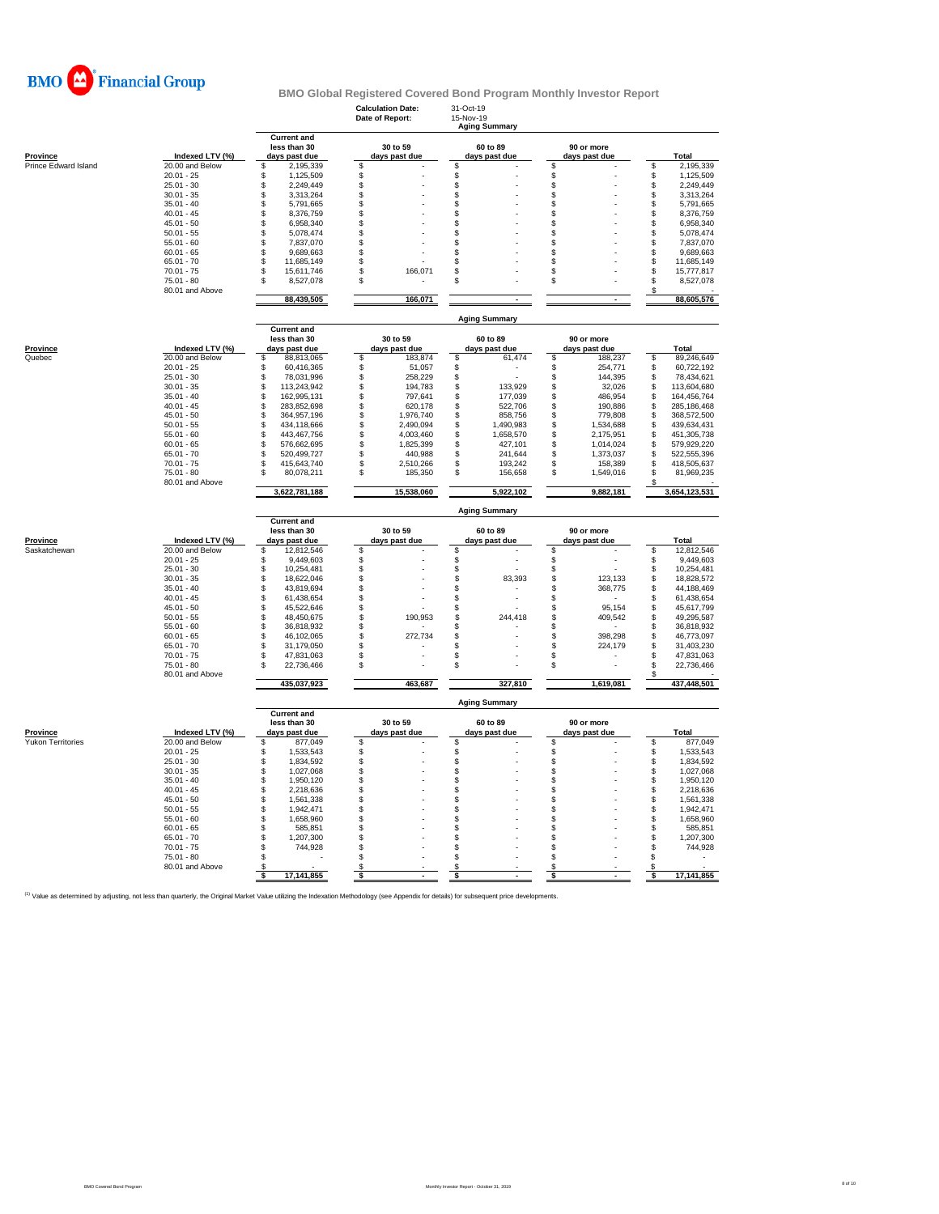

|                                 |                                    |                                                     | <b>Calculation Date:</b><br>Date of Report: | 31-Oct-19<br>15-Nov-19<br><b>Aging Summary</b> |                             |                          |
|---------------------------------|------------------------------------|-----------------------------------------------------|---------------------------------------------|------------------------------------------------|-----------------------------|--------------------------|
| Province                        | Indexed LTV (%)                    | <b>Current and</b><br>less than 30<br>days past due | 30 to 59<br>days past due                   | 60 to 89<br>days past due                      | 90 or more<br>days past due | Total                    |
| Prince Edward Island            | 20.00 and Below                    | \$<br>2,195,339                                     | \$                                          | \$                                             | \$                          | 2,195,339<br>\$          |
|                                 | $20.01 - 25$                       | 1,125,509<br>S                                      | \$                                          | \$                                             | \$                          | \$<br>1,125,509          |
|                                 | $25.01 - 30$                       | \$<br>2,249,449                                     | \$                                          | \$                                             | Š.                          | \$<br>2,249,449          |
|                                 | $30.01 - 35$                       | \$<br>3,313,264                                     | \$                                          | \$                                             | \$                          | \$<br>3,313,264          |
|                                 | $35.01 - 40$                       | S<br>5,791,665                                      | \$                                          | \$                                             | \$                          | \$<br>5,791,665          |
|                                 | $40.01 - 45$                       | \$<br>8,376,759                                     | \$                                          | \$                                             | \$                          | \$<br>8,376,759          |
|                                 | $45.01 - 50$                       | 6,958,340<br>\$                                     | \$                                          | \$                                             | \$                          | 6,958,340<br>\$          |
|                                 | $50.01 - 55$                       | \$<br>5,078,474                                     | \$                                          | \$                                             | \$                          | \$<br>5,078,474          |
|                                 | $55.01 - 60$                       | \$<br>7,837,070                                     | \$                                          | \$                                             | \$                          | \$<br>7,837,070          |
|                                 | $60.01 - 65$                       | 9,689,663<br>\$                                     | \$                                          | \$                                             | \$                          | \$<br>9,689,663          |
|                                 | $65.01 - 70$                       | S<br>11,685,149                                     | \$                                          | \$                                             | \$                          | \$<br>11,685,149         |
|                                 | $70.01 - 75$                       | 15,611,746<br>S                                     | \$<br>166,071                               | \$                                             | \$                          | \$<br>15,777,817         |
|                                 | $75.01 - 80$                       | 8,527,078<br>S                                      | \$                                          | \$                                             | \$                          | \$<br>8,527,078          |
|                                 | 80.01 and Above                    | 88,439,505                                          | 166,071                                     | $\sim$                                         | $\sim$                      | S<br>88,605,576          |
|                                 |                                    |                                                     |                                             | <b>Aging Summary</b>                           |                             |                          |
|                                 |                                    | <b>Current and</b><br>less than 30                  | 30 to 59                                    | 60 to 89                                       | 90 or more                  |                          |
| <b>Province</b>                 | Indexed LTV (%)                    | days past due                                       | days past due                               | days past due                                  | days past due               | Total                    |
| Quebec                          | 20.00 and Below                    | \$<br>88,813,065                                    | \$<br>183,874                               | S<br>61,474                                    | \$<br>188,237               | 89,246,649<br>S          |
|                                 | $20.01 - 25$                       | \$<br>60,416,365                                    | \$<br>51,057                                | \$                                             | \$<br>254,771               | 60,722,192<br>\$         |
|                                 | $25.01 - 30$                       | 78,031,996<br>\$                                    | \$<br>258,229                               | \$                                             | 144,395<br>\$               | 78,434,621<br>\$         |
|                                 | $30.01 - 35$                       | \$<br>113,243,942                                   | \$<br>194,783                               | \$<br>133,929                                  | \$<br>32,026                | 113,604,680<br>\$        |
|                                 | $35.01 - 40$                       | 162,995,131<br>\$                                   | \$<br>797,641                               | \$<br>177,039                                  | \$<br>486,954               | 164,456,764<br>\$        |
|                                 | $40.01 - 45$                       | \$<br>283,852,698                                   | \$<br>620,178                               | \$<br>522,706                                  | \$<br>190,886               | \$<br>285,186,468        |
|                                 | $45.01 - 50$                       | 364,957,196<br>\$                                   | 1,976,740<br>\$                             | \$<br>858,756                                  | 779,808<br>\$               | 368,572,500<br>S         |
|                                 | $50.01 - 55$                       | \$<br>434,118,666                                   | \$<br>2,490,094                             | \$<br>1,490,983                                | S<br>1,534,688              | 439,634,431<br>S         |
|                                 | $55.01 - 60$                       | \$<br>443,467,756                                   | \$<br>4,003,460                             | \$<br>1,658,570                                | \$<br>2,175,951             | \$<br>451,305,738        |
|                                 | $60.01 - 65$                       | \$<br>576,662,695                                   | \$<br>1,825,399                             | \$<br>427,101                                  | \$<br>1,014,024             | 579,929,220<br>S         |
|                                 | $65.01 - 70$                       | \$<br>520,499,727                                   | \$<br>440,988                               | \$<br>241,644                                  | S<br>1,373,037              | S<br>522,555,396         |
|                                 | $70.01 - 75$                       | \$<br>415,643,740                                   | \$<br>2,510,266                             | \$<br>193,242                                  | \$<br>158,389               | 418,505,637<br>S         |
|                                 | $75.01 - 80$                       | S<br>80,078,211                                     | \$<br>185,350                               | \$<br>156,658                                  | \$<br>1,549,016             | S<br>81,969,235          |
|                                 | 80.01 and Above                    | 3,622,781,188                                       | 15,538,060                                  | 5,922,102                                      | 9,882,181                   | 3,654,123,531            |
|                                 |                                    |                                                     |                                             |                                                |                             |                          |
|                                 |                                    |                                                     |                                             | <b>Aging Summary</b>                           |                             |                          |
|                                 |                                    | <b>Current and</b>                                  |                                             |                                                |                             |                          |
|                                 |                                    | less than 30                                        | 30 to 59                                    | 60 to 89                                       | 90 or more                  |                          |
| <b>Province</b><br>Saskatchewan | Indexed LTV (%)<br>20.00 and Below | days past due<br>S<br>12,812,546                    | days past due<br>\$                         | days past due<br>\$                            | days past due<br>\$         | Total<br>12,812,546<br>S |
|                                 | $20.01 - 25$                       | 9,449,603<br>S                                      |                                             | \$                                             | \$                          | 9,449,603<br>\$          |
|                                 | $25.01 - 30$                       | \$<br>10,254,481                                    | \$                                          | \$                                             | \$                          | \$<br>10,254,481         |
|                                 | $30.01 - 35$                       | \$<br>18,622,046                                    | \$                                          | \$<br>83,393                                   | \$<br>123,133               | \$<br>18,828,572         |
|                                 | $35.01 - 40$                       | \$<br>43,819,694                                    | \$                                          | \$                                             | \$<br>368,775               | 44,188,469<br>S          |
|                                 | $40.01 - 45$                       | \$<br>61,438,654                                    | \$                                          | \$                                             | \$                          | S<br>61,438,654          |
|                                 | $45.01 - 50$                       | \$<br>45,522,646                                    | \$                                          | \$                                             | \$<br>95,154                | 45,617,799<br>S          |
|                                 | $50.01 - 55$                       | \$<br>48,450,675                                    | \$<br>190,953                               | \$<br>244,418                                  | \$<br>409,542               | 49,295,587<br>S          |
|                                 | $55.01 - 60$                       | \$<br>36,818,932                                    | \$                                          | \$                                             | \$                          | \$<br>36,818,932         |
|                                 | $60.01 - 65$                       | S<br>46,102,065                                     | \$<br>272,734                               | \$                                             | \$<br>398.298               | S<br>46,773,097          |
|                                 | $65.01 - 70$                       | S<br>31.179.050                                     | \$                                          | \$                                             | \$<br>224,179               | \$.<br>31,403,230        |
|                                 | $70.01 - 75$                       | \$<br>47,831,063                                    | \$                                          | \$                                             | \$                          | S<br>47,831,063          |
|                                 | $75.01 - 80$<br>80.01 and Above    | 22,736,466<br>S                                     | \$                                          | \$                                             | \$                          | \$<br>22,736,466         |
|                                 |                                    | 435,037,923                                         | 463,687                                     | 327,810                                        | 1,619,081                   | 437,448,501              |
|                                 |                                    | <b>Current and</b>                                  |                                             | <b>Aging Summary</b>                           |                             |                          |
|                                 |                                    | less than 30                                        | 30 to 59                                    | 60 to 89                                       | 90 or more                  |                          |
| Province                        | Indexed LTV (%)                    | days past due                                       | days past due                               | days past due                                  | days past due               | Total                    |
| <b>Yukon Territories</b>        | 20.00 and Below                    | \$<br>877,049                                       | \$                                          | \$                                             | \$                          | \$<br>877,049            |
|                                 | $20.01 - 25$                       | 1,533,543<br>\$                                     |                                             | \$                                             |                             | \$<br>1,533,543          |
|                                 | $25.01 - 30$                       | \$<br>1,834,592                                     | \$                                          | \$                                             | \$                          | \$<br>1,834,592          |
|                                 | $30.01 - 35$                       | \$<br>1,027,068                                     | \$                                          | \$                                             | \$                          | \$<br>1,027,068          |
|                                 | $35.01 - 40$                       | 1,950,120<br>S                                      | \$                                          | \$                                             | \$                          | \$<br>1,950,120          |
|                                 | $40.01 - 45$                       | 2,218,636<br>S                                      | \$                                          | \$                                             | \$                          | \$<br>2,218,636          |
|                                 | $45.01 - 50$                       | \$<br>1,561,338                                     | \$                                          | \$                                             | \$                          | \$<br>1,561,338          |
|                                 | $50.01 - 55$                       | S<br>1,942,471                                      | \$                                          | \$                                             | \$                          | \$<br>1,942,471          |
|                                 | $55.01 - 60$                       | S<br>1,658,960                                      | \$                                          | \$                                             | \$                          | \$<br>1,658,960          |
|                                 | $60.01 - 65$                       | \$<br>585,851                                       | \$                                          | \$                                             | \$                          | \$<br>585,851            |
|                                 | $65.01 - 70$                       | Ŝ<br>1,207,300                                      | \$                                          | \$                                             | \$                          | \$<br>1,207,300          |
|                                 | $70.01 - 75$                       | \$<br>744,928                                       | \$                                          | \$                                             | \$                          | \$<br>744,928            |
|                                 | $75.01 - 80$                       | \$                                                  | \$                                          | \$                                             | \$                          | \$                       |
|                                 | 80.01 and Above                    | S<br>17,141,855<br>s                                | S<br>\$                                     | \$<br>\$                                       | \$<br>\$<br>$\sim$          | \$<br>17,141,855<br>\$   |

<sup>(1)</sup> Value as determined by adjusting, not less than quarterly, the Original Market Value utilizing the Indexation Methodology (see Appendix for details) for subsequent price developments.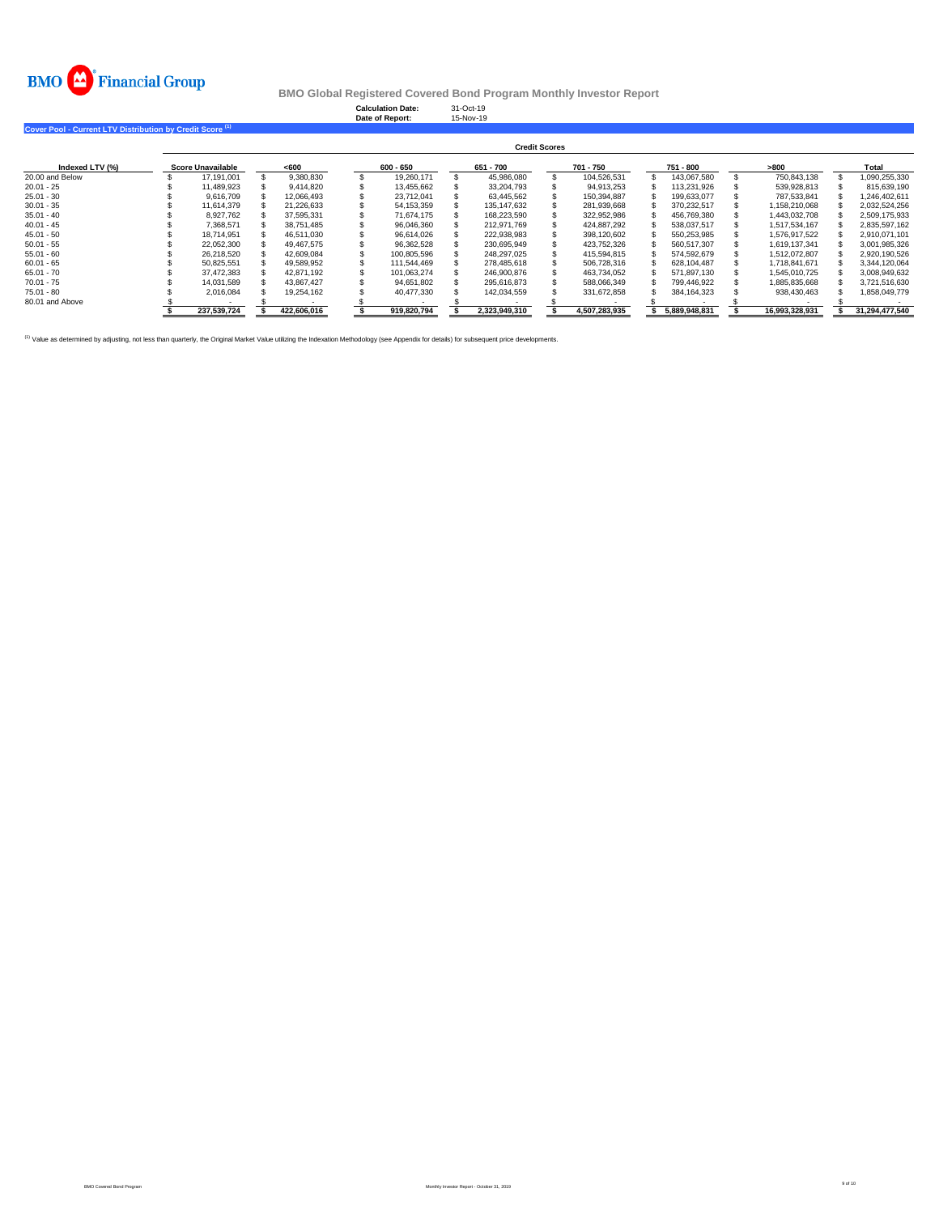

**Calculation Date:** 31-Oct-19 **Date of Report:** 15-Nov-19

**Cover Pool - Current LTV Distribution by Credit Score (1)** 

|                 | <b>Credit Scores</b> |                   |  |             |  |             |  |               |  |               |  |               |  |                |  |                |
|-----------------|----------------------|-------------------|--|-------------|--|-------------|--|---------------|--|---------------|--|---------------|--|----------------|--|----------------|
| Indexed LTV (%) |                      | Score Unavailable |  | < 600       |  | 600 - 650   |  | 651 - 700     |  | 701 - 750     |  | 751 - 800     |  | >800           |  | Total          |
| 20.00 and Below |                      | 17.191.001        |  | 9.380.830   |  | 19.260.171  |  | 45.986.080    |  | 104.526.531   |  | 143.067.580   |  | 750.843.138    |  | 1.090.255.330  |
| $20.01 - 25$    |                      | 11.489.923        |  | 9.414.820   |  | 13.455.662  |  | 33.204.793    |  | 94.913.253    |  | 113.231.926   |  | 539,928,813    |  | 815.639.190    |
| $25.01 - 30$    |                      | 9.616.709         |  | 12.066.493  |  | 23.712.041  |  | 63.445.562    |  | 150.394.887   |  | 199.633.077   |  | 787.533.841    |  | 1.246.402.611  |
| $30.01 - 35$    |                      | 11.614.379        |  | 21.226.633  |  | 54.153.359  |  | 135.147.632   |  | 281.939.668   |  | 370.232.517   |  | 1.158.210.068  |  | 2.032.524.256  |
| $35.01 - 40$    |                      | 8.927.762         |  | 37.595.331  |  | 71.674.175  |  | 168.223.590   |  | 322.952.986   |  | 456.769.380   |  | 1.443.032.708  |  | 2.509.175.933  |
| $40.01 - 45$    |                      | 7.368.571         |  | 38.751.485  |  | 96.046.360  |  | 212.971.769   |  | 424.887.292   |  | 538.037.517   |  | 1.517.534.167  |  | 2,835,597,162  |
| $45.01 - 50$    |                      | 18.714.951        |  | 46.511.030  |  | 96.614.026  |  | 222.938.983   |  | 398.120.602   |  | 550.253.985   |  | 1.576.917.522  |  | 2,910,071,101  |
| $50.01 - 55$    |                      | 22.052.300        |  | 49.467.575  |  | 96.362.528  |  | 230.695.949   |  | 423.752.326   |  | 560.517.307   |  | 1.619.137.341  |  | 3.001.985.326  |
| $55.01 - 60$    |                      | 26.218.520        |  | 42.609.084  |  | 100.805.596 |  | 248.297.025   |  | 415.594.815   |  | 574.592.679   |  | 1.512.072.807  |  | 2.920.190.526  |
| $60.01 - 65$    |                      | 50.825.551        |  | 49.589.952  |  | 111.544.469 |  | 278.485.618   |  | 506.728.316   |  | 628.104.487   |  | 1.718.841.671  |  | 3.344.120.064  |
| $65.01 - 70$    |                      | 37.472.383        |  | 42.871.192  |  | 101.063.274 |  | 246.900.876   |  | 463.734.052   |  | 571.897.130   |  | 1.545.010.725  |  | 3.008.949.632  |
| $70.01 - 75$    |                      | 14.031.589        |  | 43.867.427  |  | 94.651.802  |  | 295.616.873   |  | 588.066.349   |  | 799.446.922   |  | 1.885.835.668  |  | 3.721.516.630  |
| $75.01 - 80$    |                      | 2.016.084         |  | 19.254.162  |  | 40.477.330  |  | 142.034.559   |  | 331.672.858   |  | 384, 164, 323 |  | 938,430,463    |  | 1.858.049.779  |
| 80.01 and Above |                      |                   |  |             |  |             |  |               |  |               |  |               |  |                |  |                |
|                 |                      | 237.539.724       |  | 422.606.016 |  | 919.820.794 |  | 2.323.949.310 |  | 4.507.283.935 |  | 5.889.948.831 |  | 16.993.328.931 |  | 31.294.477.540 |

<sup>(1)</sup> Value as determined by adjusting, not less than quarterly, the Original Market Value utilizing the Indexation Methodology (see Appendix for details) for subsequent price developments